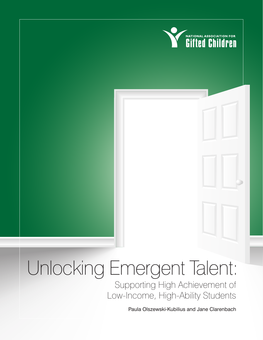

## Unlocking Emergent Talent: Supporting High Achievement of Low-Income, High-Ability Students

Paula Olszewski-Kubilius and Jane Clarenbach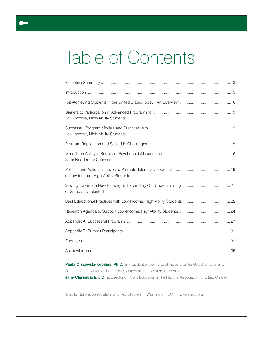# Table of Contents

| Low-Income, High-Ability Students                                                                       |
|---------------------------------------------------------------------------------------------------------|
| Low-Income, High-Ability Students                                                                       |
|                                                                                                         |
| <b>Skills Needed for Success</b>                                                                        |
| of Low-Income, High-Ability Students                                                                    |
| of Gifted and Talented                                                                                  |
|                                                                                                         |
|                                                                                                         |
|                                                                                                         |
|                                                                                                         |
|                                                                                                         |
|                                                                                                         |
| Paula Olszewski-Kubilius, Ph.D., is President of the National Association for Gifted Children and       |
| Director of the Center for Talent Development at Northwestern University.                               |
| Jane Clarenbach, J.D., is Director of Public Education at the National Association for Gifted Children. |

© 2012 National Association for Gifted Children | Washington, DC | www.nagc.org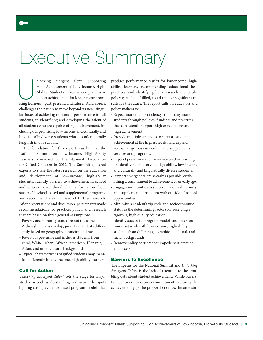# Executive Summary

nlocking Emergent Talent: Supporting<br>High Achievement of Low-Income, High-<br>Ability Students takes a comprehensive<br>look at achievement for low-income prom-<br>ising learners—past, present, and future. At its core, it High Achievement of Low-Income, High-Ability Students takes a comprehensive look at achievement for low-income promising learners—past, present, and future. At its core, it challenges the nation to move beyond its near-singular focus of achieving minimum performance for all students, to identifying and developing the talent of all students who are capable of high achievement, including our promising low-income and culturally and linguistically diverse students who too often literally languish in our schools.

The foundation for this report was built at the National Summit on Low-Income, High-Ability Learners, convened by the National Association for Gifted Children in 2012. The Summit gathered experts to share the latest research on the education and development of low-income, high-ability students, identify barriers to achievement in school and success in adulthood, share information about successful school-based and supplemental programs, and recommend areas in need of further research. After presentations and discussion, participants made recommendations for practice, policy, and research that are based on three general assumptions:

- Poverty and minority status are not the same. Although there is overlap, poverty manifests differently based on geography, ethnicity, and race.
- Poverty is pervasive and includes students from rural, White, urban, African American, Hispanic, Asian, and other cultural backgrounds.
- Typical characteristics of gifted students may manifest differently in low-income, high-ability learners.

#### Call for Action

*Unlocking Emergent Talent* sets the stage for major strides in both understanding and action, by spotlighting strong evidence-based program models that produce performance results for low-income, highability learners, recommending educational best practices, and identifying both research and public policy gaps that, if filled, could achieve significant results for the future. The report calls on educators and policy makers to:

- Expect more than proficiency from many more students through policies, funding, and practices that consistently support high expectations and high achievement.
- Provide multiple strategies to support student achievement at the highest levels, and expand access to rigorous curriculum and supplemental services and programs.
- Expand preservice and in-service teacher training on identifying and serving high-ability, low-income and culturally and linguistically diverse students.
- Support emergent talent as early as possible, establishing a commitment to achievement at an early age.
- Engage communities to support in-school learning and supplement curriculum with outside-of-school opportunities
- Minimize a student's zip code and socioeconomic status as the determining factors for receiving a rigorous, high quality education.
- Identify successful program models and interventions that work with low-income, high-ability students from different geographical, cultural, and racial backgrounds.
- Remove policy barriers that impede participation and access.

#### Barriers to Excellence

The impetus for the National Summit and *Unlocking Emergent Talent* is the lack of attention to the troubling data about student achievement. While our nation continues to express commitment to closing the achievement gap, the proportion of low-income stu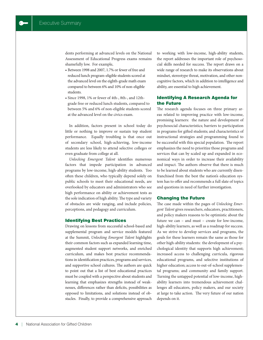dents performing at advanced levels on the National Assessment of Educational Progress exams remains shamefully low. For example,

- Between 1998 and 2007, 1.7% or fewer of free and reduced lunch program-eligible students scored at the advanced level on the eighth-grade math exam compared to between 6% and 10% of non-eligible students.
- Since 1998, 1% or fewer of 4th-, 8th-, and 12thgrade free or reduced lunch students, compared to between 5% and 6% of non-eligible students scored at the advanced level on the civics exam.

In addition, factors present in school today do little or nothing to improve or sustain top student performance. Equally troubling is that once out of secondary school, high-achieving, low-income students are less likely to attend selective colleges or even graduate from college at all.

*Unlocking Emergent Talent* identifies numerous factors that impede participation in advanced programs by low-income, high-ability students. Too often these children, who typically depend solely on public schools to meet their educational needs, are overlooked by educators and administrators who see high performance on ability or achievement tests as the sole indication of high ability. The type and variety of obstacles are wide ranging, and include policies, perceptions, and pedagogy and curriculum.

#### Identifying Best Practices

Drawing on lessons from successful school-based and supplemental program and service models featured at the Summit, *Unlocking Emergent Talent* highlights their common factors such as expanded learning time, augmented student support networks, and enriched curriculum, and makes best practice recommendations in identification practices, programs and services, and supportive school cultures. The authors are quick to point out that a list of best educational practices must be coupled with a perspective about students and learning that emphasizes strengths instead of weaknesses, differences rather than deficits, possibilities as opposed to limitations, and solutions instead of obstacles. Finally, to provide a comprehensive approach to working with low-income, high-ability students, the report addresses the important role of psychosocial skills needed for success. The report draws on a wide range of research to make its observations about mindset, stereotype threat, motivation, and other noncognitive factors, which in addition to intelligence and ability, are essential to high achievement.

#### Identifying A Research Agenda for the Future

The research agenda focuses on three primary areas related to improving practice with low-income, promising learners: the nature and development of psychosocial characteristics; barriers to participation in programs for gifted students; and characteristics of instructional strategies and programming found to be successful with this special population. The report emphasizes the need to prioritize those programs and services that can by scaled up and expanded in economical ways in order to increase their availability and impact. The authors observe that there is much to be learned about students who are currently disenfranchised from the best the nation's education system has to offer and recommends a full slate of topics and questions in need of further investigation.

#### Changing the Future

The case made within the pages of *Unlocking Emergent Talent* gives researchers, educators, practitioners, and policy makers reasons to be optimistic about the future we can – and must – create for low-income, high-ability learners, as well as a roadmap for success. As we strive to develop services and programs, the goals for these learners remain the same as those for other high-ability students: the development of a psychological identity that supports high achievement; increased access to challenging curricula, rigorous educational programs, and selective institutions of higher education; access to out-of-school supplemental programs; and community and family support. Turning the untapped potential of low-income, highability learners into tremendous achievement challenges all educators, policy makers, and our society at large to take action. The very future of our nation depends on it.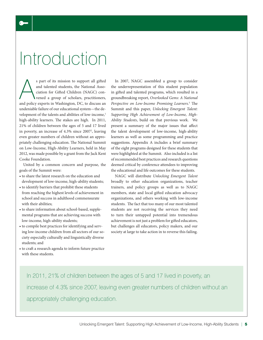# Introduction

s part of its mission to support all gifted<br>and talented students, the National Asso-<br>ciation for Gifted Children (NAGC) con-<br>vened a group of scholars, practitioners,<br>and policy experts in Washington, DC, to discuss an s part of its mission to support all gifted and talented students, the National Association for Gifted Children (NAGC) convened a group of scholars, practitioners, undeniable failure of our educational system—the development of the talents and abilities of low-income,<sup>1</sup> high-ability learners. The stakes are high. In 2011, 21% of children between the ages of 5 and 17 lived in poverty, an increase of 4.3% since 2007<sup>2</sup>, leaving even greater numbers of children without an appropriately challenging education. The National Summit on Low-Income, High-Ability Learners, held in May 2012, was made possible by a grant from the Jack Kent Cooke Foundation.

United by a common concern and purpose, the goals of the Summit were:

- to share the latest research on the education and development of low-income, high-ability students;
- to identify barriers that prohibit these students from reaching the highest levels of achievement in school and success in adulthood commensurate with their abilities;
- to share information about school-based, supplemental programs that are achieving success with low-income, high-ability students;
- to compile best practices for identifying and serving low-income children from all sectors of our society especially culturally and linguistically diverse students; and
- to craft a research agenda to inform future practice with these students.

In 2007, NAGC assembled a group to consider the underrepresentation of this student population in gifted and talented programs, which resulted in a groundbreaking report, *Overlooked Gems: A National Perspective on Low-Income Promising Learners*. 3 The Summit and this paper, *Unlocking Emergent Talent: Supporting High Achievement of Low-Income, High-Ability Students*, build on that previous work. We present a summary of the major issues that affect the talent development of low-income, high-ability learners as well as some programming and practice suggestions. Appendix A includes a brief summary of the eight programs designed for these students that were highlighted at the Summit. Also included is a list of recommended best practices and research questions deemed critical by conference attendees to improving the educational and life outcomes for these students.

NAGC will distribute *Unlocking Emergent Talent* broadly to other education organizations, teacher trainers, and policy groups as well as to NAGC members, state and local gifted education advocacy organizations, and others working with low-income students. The fact that too many of our most talented students are not receiving the services they need to turn their untapped potential into tremendous achievement is not just a problem for gifted educators, but challenges all educators, policy makers, and our society at large to take action in to reverse this failing.

In 2011, 21% of children between the ages of 5 and 17 lived in poverty, an increase of 4.3% since 2007, leaving even greater numbers of children without an appropriately challenging education.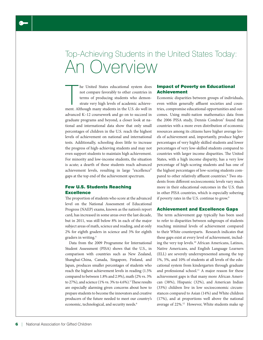## Top-Achieving Students in the United States Today: An Overview

The United States educational system does<br>not compare favorably to other countries in<br>terms of producing students who demon-<br>strate very high levels of academic achieve-<br>ment. Although many students in the U.S. do well in he United States educational system does not compare favorably to other countries in terms of producing students who demonstrate very high levels of academic achieveadvanced K–12 coursework and go on to succeed in graduate programs and beyond, a closer look at national and international data show that only small percentages of children in the U.S. reach the highest levels of achievement on national and international tests. Additionally, schooling does little to increase the progress of high-achieving students and may not even support students to maintain high achievement. For minority and low-income students, the situation is acute; a dearth of these students reach advanced achievement levels, resulting in large "excellence" gaps at the top end of the achievement spectrum.

#### Few U.S. Students Reaching **Excellence**

The proportion of students who score at the advanced level on the National Assessment of Educational Progress (NAEP) exams, known as the nation's report card, has increased in some areas over the last decade, but in 2011, was still below 8% in each of the major subject areas of math, science and reading, and at only 2% for eighth graders in science and 3% for eighth graders in writing.<sup>4</sup>

Data from the 2009 Programme for International Student Assessment (PISA) shows that the U.S., in comparison with countries such as New Zealand, Shanghai-China, Canada, Singapore, Finland, and Japan, produces smaller percentages of students who reach the highest achievement levels in reading (1.5% compared to between 1.8% and 2.9%), math (2% vs. 3% to 27%), and science  $(1\% \text{ vs. } 3\% \text{ to } 4.6\%).$ <sup>5</sup> These results are especially alarming given concerns about how to prepare students to become the innovators and creative producers of the future needed to meet our country's economic, technological, and security needs.<sup>6</sup>

#### Impact of Poverty on Educational Achievement

Economic disparities between groups of individuals, even within generally affluent societies and countries, compromise educational opportunities and outcomes. Using multi-nation mathematics data from the 2006 PISA study, Dennis Condron<sup>7</sup> found that countries with a more even distribution of economic resources among its citizens have higher average levels of achievement and, importantly, produce higher percentages of very highly skilled students and lower percentages of very low-skilled students compared to countries with larger income disparities. The United States, with a high income disparity, has a very low percentage of high-scoring students and has one of the highest percentages of low-scoring students compared to other relatively affluent countries.<sup>8</sup> Two students from different socioeconomic levels vary much more in their educational outcomes in the U.S. than in other PISA countries, which is especially sobering if poverty rates in the U.S. continue to grow.<sup>9</sup>

#### Achievement and Excellence Gaps

The term achievement gap typically has been used to refer to disparities between subgroups of students reaching minimal levels of achievement compared to their White counterparts. Research indicates that these gaps exist at every level of achievement, including the very top levels.10 African Americans, Latinos, Native Americans, and English Language Learners (ELL) are severely underrepresented among the top 1%, 5%, and 10% of students at all levels of the educational system from kindergarten through graduate and professional school.<sup>11</sup> A major reason for these achievement gaps is that many more African American (38%), Hispanic (32%), and American Indian (33%) children live in low socioeconomic circumstances compared to Asian (14%) and White children (17%), and at proportions well above the national average of 22%.12 However, White students make up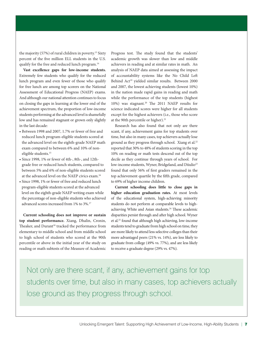the majority (57%) of rural children in poverty.<sup>13</sup> Sixty percent of the five million ELL students in the U.S. qualify for the free and reduced lunch program.<sup>14</sup>

**Vast excellence gaps for low-income students.** Extremely few students who qualify for the reduced lunch program and even fewer of those who qualify for free lunch are among top scorers on the National Assessment of Educational Progress (NAEP) exams. And although our national attention continues to focus on closing the gaps in learning at the lower end of the achievement spectrum, the proportion of low-income students performing at the advanced level is shamefully low and has remained stagnant or grown only slightly in the last decade:

- Between 1998 and 2007, 1.7% or fewer of free and reduced lunch program-eligible students scored at the advanced level on the eighth-grade NAEP math exam compared to between 6% and 10% of noneligible students.<sup>15</sup>
- Since 1998, 1% or fewer of 4th-, 8th-, and 12thgrade free or reduced lunch students, compared to between 5% and 6% of non-eligible students scored at the advanced level on the NAEP civics exam.<sup>16</sup>
- Since 1998, 1% or fewer of free and reduced lunch program-eligible students scored at the advanced level on the eighth-grade NAEP writing exam while the percentage of non-eligible students who achieved advanced scores increased from 1% to 3%.<sup>17</sup>

**Current schooling does not improve or sustain top student performance.** Xiang, Dhalin, Cronin, Theaker, and Durant<sup>18</sup> tracked the performance from elementary to middle school and from middle school to high school of students who scored at the 90th percentile or above in the initial year of the study on reading or math subtests of the Measure of Academic

Progress test. The study found that the students' academic growth was slower than low and middle achievers in reading and at similar rates in math. An analysis of NAEP data aimed at assessing the impact of accountability systems like the No Child Left Behind Act<sup>19</sup> yielded similar results. Between 2000 and 2007, the lowest achieving students (lowest 10%) in the nation made rapid gains in reading and math while the performance of the top students (highest 10%) was stagnant.<sup>20</sup> The 2011 NAEP results for science indicated scores were higher for all students except for the highest achievers (i.e., those who score at the 90th percentile or higher).<sup>21</sup>

Research has also found that not only are there scant, if any, achievement gains for top students over time, but also in many cases, top achievers actually lose ground as they progress through school. Xiang et al.<sup>22</sup> reported that 30% to 48% of students scoring in the top 10% on reading or math tests descend out of the top decile as they continue through years of school. For low-income students, Wyner, Bridgeland, and Diiulio<sup>23</sup> found that only 56% of first graders remained in the top achievement quartile by the fifth grade, compared to 69% of higher income children.

**Current schooling does little to close gaps in higher education graduation rates.** At most levels of the educational system, high-achieving minority students do not perform at comparable levels to highachieving White and Asian students.<sup>24</sup> These academic disparities persist through and after high school. Wyner et al.25 found that although high achieving, low-income students tend to graduate from high school on time, they are more likely to attend less selective colleges than their more advantaged peers (21% vs. 14%), are less likely to graduate from college (49% vs. 77%), and are less likely to receive a graduate degree (29% vs. 47%).

Not only are there scant, if any, achievement gains for top students over time, but also in many cases, top achievers actually lose ground as they progress through school.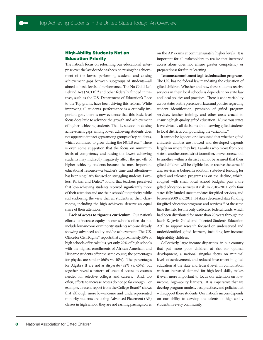#### High-Ability Students Not an Education Priority

The nation's focus on reforming our educational enterprise over the last decade has been on raising the achievement of the lowest performing students and closing achievement gaps between subgroups of students—all aimed at basic levels of performance. The No Child Left Behind Act (NCLB)<sup>26</sup> and other federally funded initiatives, such as the U.S. Department of Education's Race to the Top grants, have been driving this reform. While improving all students' performance is a critically important goal, there is now evidence that this basic-level focus does little to advance the growth and achievement of higher achieving students. That is, success in closing achievement gaps among lower achieving students does not appear to impact gaps among groups of top students, which continued to grow during the NCLB era.<sup>27</sup> There is even some suggestion that the focus on minimum levels of competency and raising the lowest achieving students may indirectly negatively affect the growth of higher achieving students because the most important educational resource—a teacher's time and attention has been singularly focused on struggling students. Loveless, Farkas, and Dufett<sup>28</sup> found that teachers perceived that low-achieving students received significantly more of their attention and are their schools' top priority, while still endorsing the view that all students in their classrooms, including the high achievers, deserve an equal share of their attention.

**Lack of access to rigorous curriculum.** Our nation's efforts to increase equity in our schools often do not include low-income or minority students who are already showing advanced ability and/or achievement. The U.S. Office for Civil Rights<sup>29</sup> reports that approximately 55% of high schools offer calculus, yet only 29% of high schools with the highest enrollments of African American and Hispanic students offer the same course; the percentages for physics are similar (66% vs. 40%). The percentages for Algebra II are not as disparate (82% vs. 65%), but together reveal a pattern of unequal access to courses needed for selective colleges and careers. And, too often, efforts to increase access do not go far enough. For example, a recent report from the College Board<sup>30</sup> shows that although more low-income and underrepresented minority students are taking Advanced Placement (AP) classes in high school, they are not earning passing scores on the AP exams at commensurately higher levels. It is important for all stakeholders to realize that increased access alone does not ensure greater competency or preparedness for future learning.

**Tenuous commitment to gifted education programs.** The U.S. has no federal law mandating the education of gifted children. Whether and how these students receive services in their local schools is dependent on state law and local policies and practices. There is wide variability across states on the presence of laws and policies regarding student identification, provision of gifted program services, teacher training, and other areas crucial to ensuring high quality gifted education. Numerous states leave virtually all decisions about serving gifted students to local districts, compounding the variability.<sup>31</sup>

It cannot be ignored or discounted that whether gifted children's abilities are noticed and developed depends largely on where they live. Families who move from one state to another, one district to another, or even one school to another within a district cannot be assured that their gifted children will be eligible for, or receive the same, if any, services as before. In addition, state-level funding for gifted and talented programs is on the decline, which, coupled with small local school budgets, puts more gifted education services at risk. In 2010–2011, only four states fully funded state mandates for gifted services, and between 2009 and 2011, 14 states decreased state funding for gifted education programs and services.<sup>32</sup> At the same time the field lost its only dedicated federal funds, which had been distributed for more than 20 years through the Jacob K. Javits Gifted and Talented Students Education Act<sup>33</sup> to support research focused on underserved and underidentified gifted learners, including low-income, high-ability children.

Collectively, large income disparities in our country that put more poor children at risk for optimal development, a national singular focus on minimal levels of achievement, and reduced investment in gifted education at the state and federal level, in combination with an increased demand for high-level skills, makes it even more important to focus our attention on lowincome, high-ability learners. It is imperative that we develop program models, best practices, and policies that will support these students. Our nation's success depends on our ability to develop the talents of high-ability students in every community.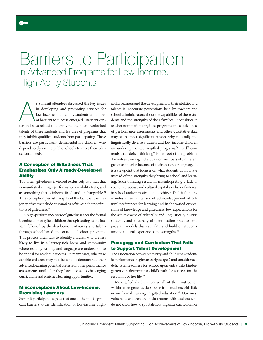### Barriers to Participation in Advanced Programs for Low-Income, High-Ability Students

s Summit attendees discussed the key issues<br>in developing and promoting services for<br>low-income, high-ability students, a number<br>of barriers to success emerged. Barriers cen-<br>ter on issues related to identifying the often s Summit attendees discussed the key issues in developing and promoting services for low-income, high-ability students, a number of barriers to success emerged. Barriers centalents of these students and features of programs that may inhibit qualified students from participating. These barriers are particularly detrimental for children who depend solely on the public schools to meet their educational needs.

 $\bullet$ 

#### A Conception of Giftedness That Emphasizes Only Already-Developed **Ability**

Too often, giftedness is viewed exclusively as a trait that is manifested in high performance on ability tests, and as something that is inborn, fixed, and unchangeable.<sup>34</sup> This conception persists in spite of the fact that the majority of states include *potential to achieve* in their definitions of giftedness.<sup>35</sup>

A high-performance view of giftedness sees the formal identification of gifted children through testing as the first step, followed by the development of ability and talents through school-based and outside-of-school programs. This process often fails to identify children who are less likely to live in a literacy-rich home and community where reading, writing, and language are understood to be critical for academic success. In many cases, otherwise capable children may not be able to demonstrate their advanced learning potential on tests or other performance assessments until after they have access to challenging curriculum and enriched learning opportunities.

#### Misconceptions About Low-Income, Promising Learners

Summit participants agreed that one of the most significant barriers to the identification of low-income, highability learners and the development of their abilities and talents is inaccurate perceptions held by teachers and school administrators about the capabilities of these students and the strengths of their families. Inequalities in teacher nomination for gifted programs and a lack of use of performance assessments and other qualitative data may be the most significant reasons why culturally and linguistically diverse students and low-income children are underrepresented in gifted programs.<sup>36</sup> Ford<sup>37</sup> contends that "deficit thinking" is the root of the problem. It involves viewing individuals or members of a different group as inferior because of their culture or language. It is a viewpoint that focuses on what students do not have instead of the strengths they bring to school and learning. Such thinking results in misinterpreting a lack of economic, social, and cultural capital as a lack of interest in school and/or motivation to achieve. Deficit thinking manifests itself in a lack of acknowledgement of cultural preferences for learning and in the varied expressions of knowledge and giftedness, low expectations for the achievement of culturally and linguistically diverse students, and a scarcity of identification practices and program models that capitalize and build on students' unique cultural experiences and strengths.<sup>38</sup>

#### Pedagogy and Curriculum That Fails to Support Talent Development

The association between poverty and children's academic performance begins as early as age 2 and unaddressed deficits in readiness for school upon entry into kindergarten can determine a child's path for success for the rest of his or her life.<sup>39</sup>

Most gifted children receive all of their instruction within heterogeneous classrooms from teachers with little or no formal training in gifted education.<sup>40</sup> Our most vulnerable children are in classrooms with teachers who do not know how to spot talent or organize curriculum or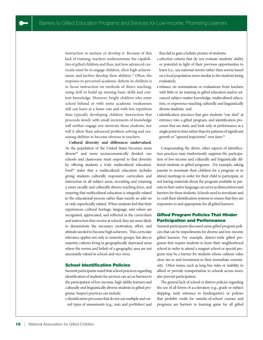instruction to nurture or develop it. Because of this lack of training, teachers underestimate the capabilities of gifted children and thus, just how advanced curricula must be to engage children, elicit high achievement, and further develop their abilities.<sup>41</sup> Often, the response to perceived academic deficits in children is to focus instruction on methods of direct teaching, using drill to build up missing basic skills and content knowledge. However, bright children who enter school behind or with some academic weaknesses still can learn at a faster rate and with less repetition than typically developing children. Instruction that proceeds slowly with small increments of knowledge will neither engage nor motivate these students, nor will it allow their advanced problem solving and reasoning abilities to become obvious to teachers.

**Cultural diversity and differences undervalued.** As the population of the United States becomes more diverse<sup>42</sup> and more socioeconomically divided, our schools and classrooms must respond to that diversity by offering students a truly multicultural education. Ford<sup>43</sup> states that a multicultural education includes giving students culturally responsive curriculum and instruction in all subject areas, recruiting and retaining a more racially and culturally diverse teaching force, and ensuring that multicultural education is integrally related to the educational process rather than merely an add-on or only superficially related. When students feel that their experiences, cultural heritage, language, and values are recognized, appreciated, and reflected in the curriculum and instruction they receive at school, they are more likely to demonstrate the necessary motivation, effort, and attitude needed to become high achievers. This curricular relevance applies not only to minority groups, but also to majority cultures living in geographically depressed areas where the norms and beliefs of a geographic area are not necessarily valued in school, and vice versa.

#### School Identification Policies

Summit participants noted that school practices regarding identification of students for services can act as barriers to the participation of low-income, high-ability learners and culturally and linguistically diverse students in gifted programs. Suspect practices can include:

• identification processes that do not use multiple and varied types of assessments (e.g., tests and portfolios) and thus fail to gain a holistic picture of students;

- selection criteria that do not evaluate students' ability or potential in light of their previous opportunities to learn (i.e., use national norms rather than norms based on a local population more similar to the students being evaluated);
- reliance on nominations or evaluations from teachers with little or no training in gifted education and/or advanced subject-matter knowledge, multicultural education, or experience teaching culturally and linguistically diverse students; and
- identification practices that give students "one shot" at entrance into a gifted program; and identification processes that are static and look only at performance at a single point in time rather than for patterns of significant growth or "upward trajectories" over time.<sup>44</sup>

Compounding the above, other aspects of identification practices may inadvertently suppress the participation of low-income and culturally and linguistically different students in gifted programs. For example, asking parents to nominate their children for a program or to attend meetings in order for their child to participate, or not having materials about the program available to parents in their native language can serve as disincentives and barriers for these students. Schools need to reevaluate and re-craft their identification systems to ensure that they are responsive to and appropriate for all gifted learners.

#### Gifted Program Policies That Hinder Participation and Performance

Summit participants discussed some gifted program policies that can be impediments for diverse and low-income gifted learners. For example, district-wide gifted programs that require students to leave their neighborhood school in order to attend a magnet school or special program may be a barrier for students whose cultures value close ties to and investment in their immediate community. Other issues, such as long bus rides or inability to afford or provide transportation to schools across town, also prevent participation.

The general lack of school or district policies regarding the use of all forms of acceleration (e.g., grade or subject skipping, early entrance to kindergarten) or policies that prohibit credit for outside-of-school courses and programs are barriers to learning gains for all gifted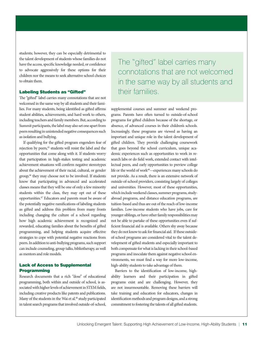students; however, they can be especially detrimental to the talent development of students whose families do not have the access, specific knowledge needed, or confidence to advocate aggressively for these options for their children nor the means to seek alternative school choices to obtain them.

#### Labeling Students as "Gifted"

The "gifted" label carries many connotations that are not welcomed in the same way by all students and their families. For many students, being identified as gifted affirms student abilities, achievements, and hard work to others, including teachers and family members. But, according to Summit participants, the label may also set one apart from peers resulting in unintended negative consequences such as isolation and bullying.

If qualifying for the gifted program engenders fear of rejection by peers,<sup>45</sup> students will resist the label and the opportunities that come along with it. If students worry that participation in high-stakes testing and academic achievement situations will confirm negative stereotypes about the achievement of their racial, cultural, or gender group,<sup>46</sup> they may choose not to be involved. If students know that participating in advanced and accelerated classes means that they will be one of only a few minority students within the class, they may opt out of these opportunities.<sup>47</sup> Educators and parents must be aware of the potentially negative ramifications of labeling students as gifted and address this problem from many fronts including changing the culture of a school regarding how high academic achievement is recognized and rewarded, educating families about the benefits of gifted programming, and helping students acquire effective strategies to cope with potential negative reactions from peers. In addition to anti-bullying programs, such support can include counseling, group talks, bibliotherapy, as well as mentors and role models.

#### Lack of Access to Supplemental Programming

Research documents that a rich "dose" of educational programming, both within and outside of school, is associated with higher levels of achievement in STEM fields, including creative products like patents and publications. Many of the students in the Wai et al.<sup>48</sup> study participated in talent search programs that involved outside-of-school,

The "gifted" label carries many connotations that are not welcomed in the same way by all students and their families.

supplemental courses and summer and weekend programs. Parents have often turned to outside-of-school programs for gifted children because of the shortage, or absence, of advanced courses in their children's schools. Increasingly, these programs are viewed as having an important and unique role in the talent development of gifted children. They provide challenging coursework that goes beyond the school curriculum, unique academic experiences such as opportunities to work in research labs or do field work, extended contact with intellectual peers, and early opportunities to preview college life or the world of work<sup>49</sup>—experiences many schools do not provide. As a result, there is an extensive network of outside-of-school providers, consisting largely of colleges and universities. However, most of these opportunities, which include weekend classes, summer programs, studyabroad programs, and distance education programs, are tuition-based and thus are out of the reach of low-income families. Low-income students who have jobs, care for younger siblings, or have other family responsibilities may not be able to partake of these opportunities even if sufficient financial aid is available. Others shy away because they do not know to ask for financial aid. If these outsideof-school programs are considered vital to the talent development of gifted students and especially important to both compensate for what is lacking in their school-based programs and inoculate them against negative school environments, we must find a way for more low-income, high-ability students to take advantage of them.

Barriers to the identification of low-income, highability learners and their participation in gifted programs exist and are challenging. However, they are not insurmountable. Removing these barriers will take training and education for educators, changes in identification methods and program designs, and a strong commitment to fostering the talents of all gifted students.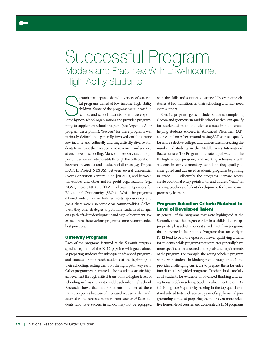### Successful Program Models and Practices With Low-Income, High-Ability Students

ummit participants shared a variety of success-<br>ful programs aimed at low-income, high-ability<br>children. Some of the programs were located in<br>schools and school districts; others were spon-<br>sored by non-school organization ummit participants shared a variety of successful programs aimed at low-income, high-ability children. Some of the programs were located in schools and school districts; others were sponming to supplement school programs (see Appendix A for program descriptions). "Success" for these programs was variously defined, but generally involved enabling more low-income and culturally and linguistically diverse students to increase their academic achievement and succeed at each level of schooling. Many of these services and opportunities were made possible through the collaborations between universities and local school districts (e.g., Project EXCITE, Project NEXUS), between several universities (Next Generation Venture Fund [NGVF]), and between universities and other not-for-profit organizations (e.g., NGVF, Project NEXUS, TEAK Fellowship, Sponsors for Educational Opportunity [SEO]). While the programs differed widely in size, features, costs, sponsorship, and goals, there were also some clear commonalities. Collectively they offer strategies to put more students of all ages on a path of talent development and high achievement. We extract from these various programs some recommended best practices.

#### Gateway Programs

Each of the programs featured at the Summit targets a specific segment of the K–12 pipeline with goals aimed at preparing students for subsequent advanced programs and courses. Some reach students at the beginning of their schooling, setting them on the right path very early. Other programs were created to help students sustain high achievement through critical transitions to higher levels of schooling such as entry into middle school or high school. Research shows that many students flounder at these transition points because of increased academic demands coupled with decreased support from teachers.<sup>50</sup> Even students who have success in school may not be equipped with the skills and support to successfully overcome obstacles at key transitions in their schooling and may need extra support.

Specific program goals include: students completing algebra and geometry in middle school so they can qualify for accelerated math and science classes in high school; helping students succeed in Advanced Placement (AP) courses and on AP exams and raising SAT scores to qualify for more selective colleges and universities; increasing the number of students in the Middle Years International Baccalaureate (IB) Program to create a pathway into the IB high school program; and working intensively with students in early elementary school so they qualify to enter gifted and advanced academic programs beginning in grade 3. Collectively, the programs increase access, create additional entry points into, and address "leaks" in existing pipelines of talent development for low-income, promising learners.

#### Program Selection Criteria Matched to Level of Developed Talent

In general, of the programs that were highlighted at the Summit, those that began earlier in a child's life are appropriately less selective or cast a wider net than programs that intervened at later points. Programs that start early in K–12 tend to be more open with fewer qualifying criteria for students, while programs that start later generally have more specific criteria related to the goals and requirements of the program. For example, the Young Scholars program works with students in kindergarten through grade 3 and provides challenging curricula to prepare them for entry into district-level gifted programs. Teachers look carefully at all students for evidence of advanced thinking and exceptional problem solving. Students who enter Project EX-CITE in grade 3 qualify by scoring in the top quartile on standardized tests and receive 6 years of supplemental programming aimed at preparing them for even more selective honors-level courses and accelerated STEM programs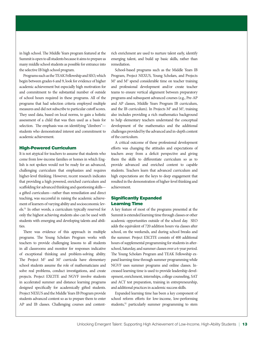in high school. The Middle Years program featured at the Summit is open to all students because it aims to prepare as many middle school students as possible for entrance into the selective IB high school program.

Programs such as the TEAK Fellowship and SEO, which begin between grades 6 and 9, look for evidence of higher academic achievement but especially high motivation for and commitment to the substantial number of outside of school hours required in these programs. All of the programs that had selection criteria employed multiple measures and did not subscribe to particular cutoff scores. They used data, based on local norms, to gain a holistic assessment of a child that was then used as a basis for selection. The emphasis was on identifying "climbers" students who demonstrated interest and commitment to academic achievement.

#### High-Powered Curriculum

It is not atypical for teachers to assume that students who come from low-income families or homes in which English is not spoken would not be ready for an advanced, challenging curriculum that emphasizes and requires higher-level thinking. However, recent research indicates that providing a high powered, enriched curriculum and scaffolding for advanced thinking and questioning skills a gifted curriculum—rather than remediation and direct teaching, was successful in raising the academic achievement of learners of varying ability and socioeconomic levels.51 In other words, a curriculum typically reserved for only the highest achieving students also can be used with students with emerging and developing talents and abilities.

There was evidence of this approach in multiple programs. The Young Scholars Program works with teachers to provide challenging lessons to all students in all classrooms and monitor for responses indicative of exceptional thinking and problem-solving ability. The Project  $M^2$  and  $M^3$  curricula have elementary school students assume the role of mathematicians and solve real problems, conduct investigations, and create projects. Project EXCITE and NGVF involve students in accelerated summer and distance learning programs designed specifically for academically gifted students. Project NEXUS and the Middle Years IB Program provide students advanced content so as to prepare them to enter AP and IB classes. Challenging courses and contentrich enrichment are used to nurture talent early, identify emerging talent, and build up basic skills, rather than remediation.

School-based programs such as the Middle Years IB Program, Project NEXUS, Young Scholars, and Projects M<sup>2</sup> and M<sup>3</sup> spend considerable time on teacher training and professional development and/or create teacher teams to ensure vertical alignment between preparatory programs and subsequent advanced courses (e.g., Pre-AP and AP classes, Middle Years Program IB curriculum, and the IB curriculum). In Projects  $M^2$  and  $M^3$ , training also includes providing a rich mathematics background to help elementary teachers understand the conceptual development of the mathematics and the additional challenges provided by the advanced and in-depth content of the curriculum.

A critical outcome of these professional development efforts was changing the attitudes and expectations of teachers away from a deficit perspective and giving them the skills to differentiate curriculum so as to provide advanced and enriched content to capable students. Teachers learn that advanced curriculum and high expectations are the keys to deep engagement that resulted in the demonstration of higher-level thinking and achievement.

#### Significantly Expanded Learning Time

A key feature of most of the programs presented at the Summit is extended learning time through classes or other academic opportunities outside of the school day. SEO adds the equivalent of 720 addition hours via classes after school, on the weekends, and during school breaks and the summer. Project EXCITE consists of 400 additional hours of supplemental programming for students in afterschool, Saturday, and summer classes over a 6-year period. The Young Scholars Program and TEAK Fellowship expand learning time through summer programming while NGVF uses summer programs and online classes. Increased learning time is used to provide leadership development, enrichment, internships, college counseling, SAT and ACT test preparation, training in entrepreneurship, and additional practices in academic success skills.

Expanded learning time has been a key component of school reform efforts for low-income, low-performing students,<sup>52</sup> particularly summer programming to stem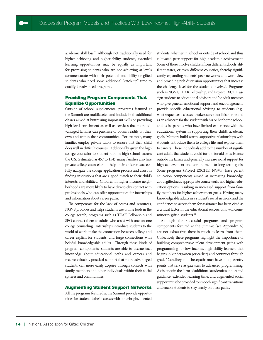academic skill loss.<sup>53</sup> Although not traditionally used for higher achieving and higher-ability students, extended learning opportunities may be equally as important for promising students who are not achieving at levels commensurate with their potential and ability or gifted students who need some additional "catch up" time to qualify for advanced programs.

#### Providing Program Components That Equalize Opportunities

Outside of school, supplemental programs featured at the Summit are multifaceted and include both additional classes aimed at buttressing important skills or providing high-level enrichment as well as services that more advantaged families can purchase or obtain readily on their own and within their communities. For example, many families employ private tutors to ensure that their child does well in difficult courses. Additionally, given the high college counselor-to-student ratio in high schools across the U.S. (estimated as 457 to 154), many families also hire private college counselors to help their children successfully navigate the college application process and assist in finding institutions that are a good match to their child's interests and abilities. Children in higher income neighborhoods are more likely to have day-to-day contact with professionals who can offer opportunities for internships and information about career paths.

To compensate for the lack of access and resources, NGVF provides and helps students use online tools in the college search; programs such as TEAK Fellowship and SEO connect them to adults who assist with one-on-one college counseling. Internships introduce students to the world of work, make the connection between college and career explicit for students, and forge connections with helpful, knowledgeable adults. Through these kinds of program components, students are able to accrue tacit knowledge about educational paths and careers and receive valuable, practical support that more advantaged students can more easily acquire through contacts with family members and other individuals within their social spheres and communities.

#### Augmenting Student Support Networks

All the programs featured at the Summit provide opportunities for students to be in classes with other bright, talented students, whether in school or outside of school, and thus cultivated peer support for high academic achievement. Some of these involve children from different schools, different states, or even different countries, thereby significantly expanding students' peer networks and worldview and providing rich discussion opportunities that increase the challenge level for the students involved. Programs such as NGVF, TEAK Fellowship, and Project EXCITE assign students to educational advisors and/or adult mentors who give general emotional support and encouragement, provide specific educational advising to students (e.g., what sequence of classes to take), serve in a liaison role and as an advocate for the student with his or her home school, and assist parents who have limited experience with the educational system in supporting their child's academic goals. Mentors build warm, supportive relationships with students, introduce them to college life, and expose them to careers. These individuals add to the number of significant adults that students could turn to for aid or assistance outside the family and generally increase social support for high achievement and commitment to long-term goals. Some programs (Project EXCITE, NGVF) have parent education components aimed at increasing knowledge about giftedness, appropriate coursework, and higher education options, resulting in increased support from family members for higher achievement goals. Having many knowledgeable adults in a student's social network and the confidence to access them for assistance has been cited as a critical factor in the educational success of low-income, minority gifted students.<sup>55</sup>

Although the successful programs and program components featured at the Summit (see Appendix A) are not exhaustive, there is much to learn from them. Collectively these programs highlight the importance of building comprehensive talent development paths with programming for low-income, high-ability learners that begins in kindergarten (or earlier) and continues through grade 12 and beyond. These paths must have multiple entry points that serve as gateways to advanced programming. Assistance in the form of additional academic support and guidance, extended learning time, and augmented social support must be provided to smooth significant transitions and enable students to stay firmly on these paths.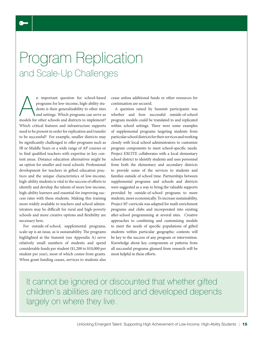## Program Replication and Scale-Up Challenges

n important question for school-based<br>programs for low-income, high-ability stu-<br>dents is their generalizability to other sites<br>and settings. Which programs can serve as<br>models for other schools and districts to implement? n important question for school-based programs for low-income, high-ability students is their generalizability to other sites and settings. Which programs can serve as Which critical features and infrastructure supports need to be present in order for replication and transfer to be successful? For example, smaller districts may be significantly challenged to offer programs such as IB or Middle Years or a wide range of AP courses or to find qualified teachers with expertise in key content areas. Distance education alternatives might be an option for smaller and rural schools. Professional development for teachers in gifted education practices and the unique characteristics of low-income, high-ability students is vital to the success of efforts to identify and develop the talents of more low-income, high-ability learners and essential for improving success rates with these students. Making this training more widely available to teachers and school administrators may be difficult for rural and high-poverty schools and more creative options and flexibility are necessary here.

For outside-of-school, supplemental programs, scale-up is an issue, as is sustainability. The programs highlighted at the Summit (see Appendix A) serve relatively small numbers of students and spend considerable funds per student (\$1,200 to \$10,000 per student per year), most of which comes from grants. When grant funding ceases, services to students also

cease unless additional funds or other resources for continuation are secured.

A question raised by Summit participants was whether and how successful outside-of-school program models could be translated to and replicated within school settings. There were some examples of supplemental programs targeting students from particular school districts for their services and working closely with local school administrators to customize program components to meet school-specific needs. Project EXCITE collaborates with a local elementary school district to identify students and uses personnel from both the elementary and secondary districts to provide some of the services to students and families outside of school time. Partnerships between supplemental programs and schools and districts were suggested as a way to bring the valuable supports provided by outside-of-school programs to more students, more economically. To increase sustainability, Project M<sup>3</sup> curricula was adapted for math enrichment programs and clubs and incorporated into existing after-school programming at several sites. Creative approaches to combining and customizing models to meet the needs of specific populations of gifted students within particular geographic contexts will be key to the success of any program or intervention. Knowledge about key components or patterns from all successful programs gleaned from research will be most helpful in these efforts.

It cannot be ignored or discounted that whether gifted children's abilities are noticed and developed depends largely on where they live.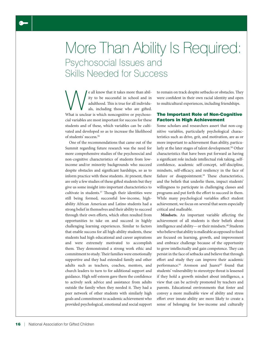## More Than Ability Is Required: Psychosocial Issues and Skills Needed for Success

We all know that it takes more than abil-<br>ity to be successful in school and in<br>adulthood. This is true for all individu-<br>als, including those who are gifted.<br>What is unclear is which noncognitive or psychosoity to be successful in school and in adulthood. This is true for all individuals, including those who are gifted. cial variables are most important for success for these students and of these, which variables can be cultivated and developed so as to increase the likelihood of students' success.<sup>56</sup>

One of the recommendations that came out of the Summit regarding future research was the need for more comprehensive studies of the psychosocial and non-cognitive characteristics of students from lowincome and/or minority backgrounds who succeed despite obstacles and significant hardships, so as to inform practice with these students. At present, there are only a few studies of these gifted students but they give us some insight into important characteristics to cultivate in students.<sup>57</sup> Though their identities were still being formed, successful low-income, highability African American and Latino students had a strong belief in themselves and their ability to succeed through their own efforts, which often resulted from opportunities to take on and succeed in highly challenging learning experiences. Similar to factors that enable success for all high-ability students, these students had high educational and career aspirations and were extremely motivated to accomplish them. They demonstrated a strong work ethic and commitment to study. Their families were emotionally supportive and they had extended family and other adults such as teachers, coaches, mentors, and church leaders to turn to for additional support and guidance. High self-esteem gave them the confidence to actively seek advice and assistance from adults outside the family when they needed it. They had a peer network of other students with similarly high goals and commitment to academic achievement who provided psychological, emotional and social support to remain on track despite setbacks or obstacles. They were confident in their own racial identity and open to multicultural experiences, including friendships.

#### The Important Role of Non-Cognitive Factors in High Achievement

Some scholars and researchers assert that non-cognitive variables, particularly psychological characteristics such as drive, grit, and motivation, are as or more important to achievement than ability, particularly at the later stages of talent development.<sup>58</sup> Other characteristics that have been put forward as having a significant role include intellectual risk taking, selfconfidence, academic self-concept, self-discipline, mindsets, self-efficacy, and resiliency in the face of failure or disappointment.<sup>59</sup> These characteristics, and the beliefs that underlie them, impact students' willingness to participate in challenging classes and programs and put forth the effort to succeed in them. While many psychological variables affect student achievement, we focus on several that seem especially critical and malleable.

**Mindsets.** An important variable affecting the achievement of all students is their beliefs about intelligence and ability- or their mindsets.<sup>60</sup> Students who believe that ability is malleable as opposed to fixed are focused on learning, growth, and improvement and embrace challenge because of the opportunity to grow intellectually and gain competence. They can persist in the face of setbacks and believe that through effort and study they can improve their academic performance.<sup>61</sup> Aronson and Juarez<sup>62</sup> found that students' vulnerability to stereotype threat is lessened if they hold a growth mindset about intelligence, a view that can be actively promoted by teachers and parents. Educational environments that foster and convey a more malleable view of ability and stress effort over innate ability are more likely to create a sense of belonging for low-income and culturally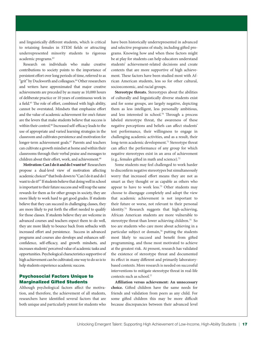and linguistically different students, which is critical to retaining females in STEM fields or attracting underrepresented minority students to rigorous academic programs.<sup>63</sup>

Research on individuals who make creative contributions to society points to the importance of persistent effort over long periods of time, referred to as "grit" by Duckworth and colleagues.<sup>64</sup> Other researchers and writers have approximated that major creative achievements are preceded by as many as 10,000 hours of deliberate practice or 10 years of continuous work in a field.<sup>65</sup> The role of effort, combined with high ability, cannot be overstated. Mindsets that emphasize effort and the value of academic achievement for one's future are the levers that make students believe that success is within their control.<sup>66</sup> Increased self-efficacy leads to the use of appropriate and varied learning strategies in the classroom and cultivates persistence and motivation for longer-term achievement goals.<sup>67</sup> Parents and teachers can cultivate a growth mindset at home and within their classrooms through their verbal praise and messages to children about their effort, work, and achievement.<sup>68</sup>

**Motivation: Can I do it and do I want to?** Researchers propose a dual-level view of motivation affecting academic choices<sup>69</sup> that boils down to "Can I do it and do I want to do it?" If students believe that doing well in school is important to their future success and will reap the same rewards for them as for other groups in society, they are more likely to work hard to get good grades. If students believe that they can succeed in challenging classes, they are more likely to put forth the effort needed to qualify for those classes. If students believe they are welcome in advanced courses and teachers expect them to do well, they are more likely to bounce back from setbacks with increased effort and persistence. Success in advanced programs and courses also develops and enhances selfconfidence, self-efficacy, and growth mindsets, and increases students' perceived value of academic tasks and opportunities. Psychological characteristics supportive of high achievement can be cultivated; one way to do so is to help students experience academic success.

#### Psychosocial Factors Unique to Marginalized Gifted Students

Although psychological factors affect the motivation, and therefore, the achievement of all students, researchers have identified several factors that are both unique and particularly potent for students who

have been historically underrepresented in advanced and selective programs of study, including gifted programs. Knowing how and when these factors might be at play for students can help educators understand students' achievement-related decisions and create contexts that are more supportive of high achievement. These factors have been studied most with African American students, less so for other cultural, socioeconomic, and racial groups.

**Stereotype threats.** Stereotypes about the abilities of culturally and linguistically diverse students exist and for some groups, are largely negative, depicting them as less intelligent, less personally ambitious, and less interested in school.<sup>70</sup> Through a process labeled stereotype threat, the awareness of these negative perceptions and beliefs can affect students' test performance, their willingness to engage in challenging academic activities, and as a result, their long-term academic development.<sup>71</sup> Stereotype threat can affect the performance of any group for which negative stereotypes exist in an area of achievement (e.g., females gifted in math and science).<sup>72</sup>

Some students may feel challenged to work harder to disconfirm negative stereotypes but simultaneously worry that increased effort means they are not as smart as they thought or as capable as others who appear to have to work less.<sup>73</sup> Other students may choose to disengage completely and adopt the view that academic achievement is not important to their future or worse, not relevant to their personal identity.74 Research suggests that high-achieving, African American students are more vulnerable to stereotype threat than lower achieving children.<sup>75</sup> So too are students who care more about achieving in a particular subject or domain,<sup>76</sup> putting the students most likely to succeed and benefit from gifted programming, and those most motivated to achieve at the greatest risk. At present, research has validated the existence of stereotype threat and documented its effect in many different and primarily laboratorybased contexts. More research is needed on successful interventions to mitigate stereotype threat in real-life contexts such as school.<sup>77</sup>

**Affiliation versus achievement: An unnecessary choice.** Gifted children have the same needs for friends and validation from peers as any child. For some gifted children this may be more difficult because discrepancies between their advanced level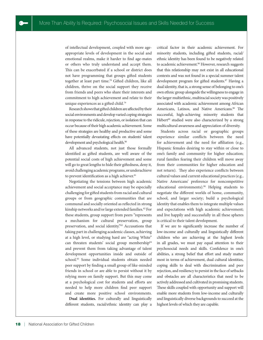of intellectual development, coupled with more ageappropriate levels of development in the social and emotional realms, make it harder to find age-mates or others who truly understand and accept them. This can be exacerbated if a school or district does not have programming that groups gifted students together at least part time.<sup>78</sup> Gifted children, like all children, thrive on the social support they receive from friends and peers who share their interests and commitment to high achievement and relate to their unique experiences as a gifted child.<sup>79</sup>

Research shows that gifted children are affected by their social environments and develop varied coping strategies in response to the ridicule, rejection, or isolation that can occur because of their high academic achievement. Some of these strategies are healthy and productive and some have potentially devastating effects on students' talent development and psychological health.<sup>80</sup>

All advanced students, not just those formally identified as gifted students, are well aware of the potential social costs of high achievement and some will go to great lengths to hide their giftedness, deny it, avoid challenging academic programs, or underachieve to prevent identification as a high achiever.<sup>81</sup>

Negotiating the tensions between high academic achievement and social acceptance may be especially challenging for gifted students from racial and cultural groups or from geographic communities that are communal and socially oriented as reflected in strong kinship networks and/or large extended families.<sup>82</sup> For these students, group support from peers "represents a mechanism for cultural preservation, group preservation, and social identity."<sup>83</sup> Accusations that taking part in challenging academic classes, achieving at a high level, or studying hard are "acting White" can threaten students' social group membership<sup>84</sup> and prevent them from taking advantage of talent development opportunities inside and outside of school.<sup>85</sup> Some individual students obtain needed peer support by finding a small group of like-minded friends in school or are able to persist without it by relying more on family support. But this may come at a psychological cost for students and efforts are needed to help more children find peer support and create more positive school environments.

**Dual identities.** For culturally and linguistically different students, racial/ethnic identity can play a critical factor in their academic achievement. For minority students, including gifted students, racial/ ethnic identity has been found to be negatively related to academic achievement.<sup>86</sup> However, research suggests that this relationship may not exist in all educational contexts and was not found in a special summer talent development program for gifted students.<sup>87</sup> Having a dual identity, that is, a strong sense of belonging to one's own ethnic group alongside the willingness to engage in the larger multiethnic, multiracial society was positively associated with academic achievement among African Americans, Latinos, and Native Americans.<sup>88</sup> The successful, high-achieving minority students that Hébert<sup>89</sup> studied were also characterized by a strong multicultural awareness and appreciation of diversity.

Students across racial or geographic groups experience similar conflicts between the need for achievement and the need for affiliation (e.g., Hispanic females desiring to stay within or close to one's family and community for higher education; rural families fearing their children will move away from their communities for higher education and not return). They also experience conflicts between cultural values and current educational practices (e.g., Native Americans' preference for noncompetitive educational environments).<sup>90</sup> Helping students to negotiate the different worlds of home, community, school, and larger society; build a psychological identity that enables them to integrate multiple values and expectations with high academic achievement; and live happily and successfully in all these spheres is critical to their talent development.

If we are to significantly increase the number of low-income and culturally and linguistically different children who are achieving at the highest levels in all grades, we must pay equal attention to their psychosocial needs and skills. Confidence in one's abilities, a strong belief that effort and study matter most in terms of achievement, dual cultural identities, coping skills to deal with discrimination and peer rejection, and resiliency to persist in the face of setbacks and obstacles are all characteristics that need to be actively addressed and cultivated in promising students. These skills coupled with opportunity and support will enable more students from low-income and culturally and linguistically diverse backgrounds to succeed at the highest levels of which they are capable.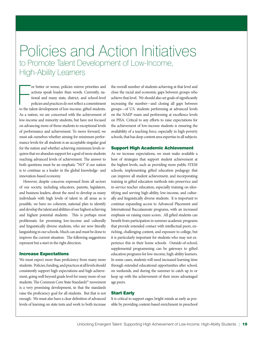### Policies and Action Initiatives to Promote Talent Development of Low-Income, High-Ability Learners

or better or worse, policies mirror priorities and actions speak louder than words. Currently, national and many state, district, and school-level policies and practices do not reflect a commitment to the talent developmen or better or worse, policies mirror priorities and actions speak louder than words. Currently, national and many state, district, and school-level policies and practices do not reflect a commitment As a nation, we are concerned with the achievement of low-income and minority students, but have not focused on advancing more of those students to exceptional levels of performance and achievement. To move forward, we must ask ourselves whether aiming for minimum performance levels for all students is an acceptable singular goal for the nation and whether achieving minimum levels requires that we abandon support for a goal of more students reaching advanced levels of achievement. The answer to both questions must be an emphatic "NO" if our nation is to continue as a leader in the global knowledge- and innovation-based economy.

However, despite concerns expressed from all sectors of our society, including educators, parents, legislators, and business leaders, about the need to develop as many individuals with high levels of talent in all areas as is possible, we have no coherent, national plan to identify and develop the talent and abilities of our highest achieving and highest potential students. This is perhaps most problematic for promising low-income and culturally and linguistically diverse students, who are now literally languishing in our schools. Much can and must be done to improve the current situation. The following suggestions represent but a start in the right direction.

#### Increase Expectations

We must expect more than proficiency from many more students. Policies, funding, and practices at all levels should consistently support high expectations and high achievement, going well beyond grade level for many more of our students. The Common Core State Standards<sup>91</sup> movement is a very promising development, in that the standards raise the proficiency goal for all students. But that is not enough. We must also have a clear definition of advanced levels of learning on state tests and work to both increase the overall number of students achieving at that level and close the racial and economic gaps between groups who achieve that level. We should also set goals of significantly increasing the number—and closing all gaps between groups—of U.S. students performing at advanced levels on the NAEP exam and performing at excellence levels on PISA. Critical to any efforts to raise expectations for the achievement of low-income students is ensuring the availability of a teaching force, especially in high-poverty schools, that has deep content area expertise in all subjects.

#### Support High Academic Achievement

As we increase expectations, we must make available a host of strategies that support student achievement at the highest levels, such as providing more public STEM schools, implementing gifted education pedagogy that can improve all student achievement, and incorporating training in gifted education methods into preservice and in-service teacher education, especially training on identifying and serving high-ability, low-income, and culturally and linguistically diverse students. It is important to continue expanding access to Advanced Placement and International Baccalaureate programs, with an increased emphasis on raising exam scores. All gifted students can benefit from participation in summer academic programs that provide extended contact with intellectual peers, enriching, challenging content, and exposure to college, but it is particularly important for students who may not experience this in their home schools. Outside-of-school, supplemental programming can be gateways to gifted education programs for low-income, high-ability learners. In some cases, students will need increased learning time through extended educational opportunities after school, on weekends, and during the summer to catch up to or keep up with the achievement of their more advantaged age peers.

#### Start Early

It is critical to support eager, bright minds as early as possible by providing content-based enrichment in preschool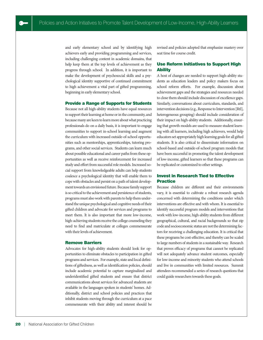and early elementary school and by identifying high achievers early and providing programming and services, including challenging content in academic domains, that help keep them at the top levels of achievement as they progress through school. In addition, it is important to make the development of psychosocial skills and a psychological identity supportive of continued commitment to high achievement a vital part of gifted programming, beginning in early elementary school.

#### Provide a Range of Supports for Students

Because not all high-ability students have equal resources to support their learning at home or in the community, and because many are keen to learn more about what practicing professionals do on a daily basis, it is important to engage communities to support in-school learning and augment the curriculum with increased outside-of-school opportunities such as mentorships, apprenticeships, tutoring programs, and other social services. Students can learn much about possible educational and career paths from these opportunities as well as receive reinforcement for increased study and effort from successful role models. Increased social support from knowledgeable adults can help students coalesce a psychological identity that will enable them to cope with obstacles and persist on a path of talent development towards an envisioned future. Because family support is so critical to the achievement and persistence of students, programs must also work with parents to help them understand the unique psychological and cognitive needs of their gifted children and advocate for services and programs to meet them. It is also important that more low-income, high-achieving students receive the college counseling they need to find and matriculate at colleges commensurate with their levels of achievement.

#### Remove Barriers

Advocates for high-ability students should look for opportunities to eliminate obstacles to participation in gifted programs and services. For example, state and local definitions of giftedness, as well as identification policies, should include academic potential to capture marginalized and underidentified gifted students and ensure that district communications about services for advanced students are available in the languages spoken in students' homes. Additionally, district and school policies and practices that inhibit students moving through the curriculum at a pace commensurate with their ability and interest should be

revised and policies adopted that emphasize mastery over seat time for course credit.

#### Use Reform Initiatives to Support High **Ability**

A host of changes are needed to support high-ability students as education leaders and policy makers focus on school reform efforts. For example, discussion about achievement gaps and the strategies and resources needed to close them should include discussion of excellence gaps. Similarly, conversations about curriculum, standards, and intervention decisions (e.g., Response to Intervention [RtI], heterogeneous grouping) should include consideration of their impact on high-ability students. Additionally, ensuring that growth models are used to measure student learning with all learners, including high achievers, would help educators set appropriately high learning goals for all gifted students. It is also critical to disseminate information on school-based and outside-of-school program models that have been successful in promoting the talent development of low-income, gifted learners so that these programs can be replicated or customized to other settings.

#### Invest in Research Tied to Effective **Practice**

Because children are different and their environments vary, it is essential to cultivate a robust research agenda concerned with determining the conditions under which interventions are effective and with whom. It is essential to identify successful program models and interventions that work with low-income, high-ability students from different geographical, cultural, and racial backgrounds so that zip code and socioeconomic status are not the determining factors for receiving a challenging education. It is critical that these programs be cost-effective, and thereby can be scaled to large numbers of students in a sustainable way. Research that proves efficacy of programs that cannot be replicated will not adequately advance student outcomes, especially for low-income and minority students who attend schools and live in communities with limited resources. Summit attendees recommended a series of research questions that could guide researchers towards these goals.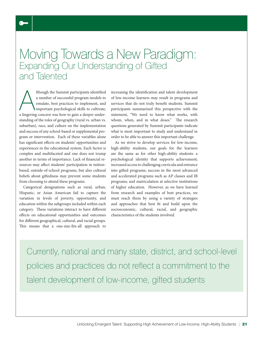### Moving Towards a New Paradigm: Expanding Our Understanding of Gifted and Talented

Ithough the Summit participants identified<br>a number of successful program models to<br>emulate, best practices to implement, and<br>important psychological skills to cultivate,<br>a lingering concern was how to gain a deeper underlthough the Summit participants identified a number of successful program models to emulate, best practices to implement, and important psychological skills to cultivate, standing of the roles of geography (rural vs. urban vs. suburban), race, and culture on the implementation and success of any school-based or supplemental program or intervention. Each of these variables alone has significant effects on students' opportunities and experiences in the educational system. Each factor is complex and multifaceted and one does not trump another in terms of importance. Lack of financial resources may affect students' participation in tuitionbased, outside-of-school programs, but also cultural beliefs about giftedness may prevent some students from choosing to attend these programs.

Categorical designations such as rural, urban, Hispanic, or Asian American fail to capture the variation in levels of poverty, opportunity, and education within the subgroups included within each category. These variations interact to have different effects on educational opportunities and outcomes for different geographical, cultural, and racial groups. This means that a one-size-fits-all approach to

increasing the identification and talent development of low-income learners may result in programs and services that do not truly benefit students. Summit participants summarized this perspective with the statement, "We need to know what works, with whom, when, and in what doses." The research questions generated by Summit participants indicate what is most important to study and understand in order to be able to answer this important challenge.

As we strive to develop services for low-income, high-ability students, our goals for the learners are the same as for other high-ability students: a psychological identity that supports achievement; increased access to challenging curricula and entrance into gifted programs; success in the most advanced and accelerated programs such as AP classes and IB programs; and matriculation at selective institutions of higher education. However, as we have learned from research and examples of best practices, we must reach them by using a variety of strategies and approaches that best fit and build upon the socioeconomic, cultural, racial, and geographic characteristics of the students involved.

Currently, national and many state, district, and school-level policies and practices do not reflect a commitment to the talent development of low-income, gifted students

 $\bullet$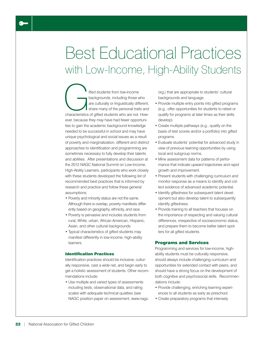## Best Educational Practices with Low-Income, High-Ability Students

Ifted students from low-income<br>
backgrounds, including those who<br>
are culturally or linguistically different,<br>
share many of the personal traits and<br>
characteristics of gifted students who are not. Howbackgrounds, including those who are culturally or linguistically different, share many of the personal traits and ever, because they may have had fewer opportunities to gain the academic background knowledge needed to be successful in school and may have unique psychological and social issues as a result of poverty and marginalization, different and distinct approaches to identification and programming are sometimes necessary to fully develop their talents and abilities. After presentations and discussion at the 2012 NAGC National Summit on Low-Income, High-Ability Learners, participants who work closely with these students developed the following list of recommended best practices that is informed by research and practice and follow these general assumptions:

- Poverty and minority status are not the same. Although there is overlap, poverty manifests differently based on geography, ethnicity, and race.
- Poverty is pervasive and includes students from rural, White, urban, African American, Hispanic, Asian, and other cultural backgrounds.
- Typical characteristics of gifted students may manifest differently in low-income, high-ability learners.

#### Identification Practices

Identification practices should be inclusive, culturally responsive, cast a wide net, and begin early to get a holistic assessment of students. Other recommendations include:

• Use multiple and varied types of assessments including tests, observational data, and rating scales with adequate technical qualities (see NAGC position paper on assessment, www.nagc. org,) that are appropriate to students' cultural backgrounds and language.

- Provide multiple entry points into gifted programs (e.g., offer opportunities for students to retest or qualify for programs at later times as their skills develop).
- Create multiple pathways (e.g., qualify on the basis of test scores and/or a portfolio) into gifted programs.
- Evaluate students' potential for advanced study in view of previous learning opportunities by using local and subgroup norms.
- Mine assessment data for patterns of performance that indicate upward trajectories and rapid growth and improvement.
- Present students with challenging curriculum and monitor response as a means to identify and collect evidence of advanced academic potential.
- Identify giftedness for subsequent talent development but also develop talent to subsequently identify giftedness.
- Provide training to all teachers that focuses on the importance of respecting and valuing cultural differences, irrespective of socioeconomic status, and prepare them to become better talent spotters for all gifted students.

#### Programs and Services

Programming and services for low-income, highability students must be culturally responsive, should always include challenging curriculum and opportunities for extended contact with peers, and should have a strong focus on the development of both cognitive and psychosocial skills. Recommendations include:

- Provide challenging, enriching learning experiences to all students as early as preschool.
- Create preparatory programs that intensely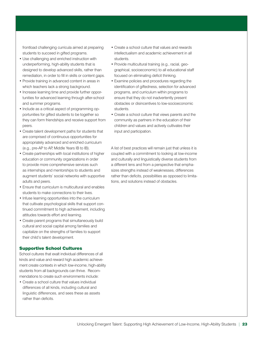frontload challenging curricula aimed at preparing students to succeed in gifted programs.

- Use challenging and enriched instruction with underperforming, high-ability students that is designed to develop advanced skills, rather than remediation, in order to fill in skills or content gaps.
- Provide training in advanced content in areas in which teachers lack a strong background.
- Increase learning time and provide further opportunities for advanced learning through after-school and summer programs.
- Include as a critical aspect of programming opportunities for gifted students to be together so they can form friendships and receive support from peers.
- Create talent development paths for students that are comprised of continuous opportunities for appropriately advanced and enriched curriculum (e.g., pre-AP to AP, Middle Years IB to IB).
- Create partnerships with local institutions of higher education or community organizations in order to provide more comprehensive services such as internships and mentorships to students and augment students' social networks with supportive adults and peers.
- Ensure that curriculum is multicultural and enables students to make connections to their lives.
- Infuse learning opportunities into the curriculum that cultivate psychological skills that support continued commitment to high achievement, including attitudes towards effort and learning.
- Create parent programs that simultaneously build cultural and social capital among families and capitalize on the strengths of families to support their child's talent development.

#### Supportive School Cultures

School cultures that exalt individual differences of all kinds and value and reward high academic achievement create contexts in which low-income, high-ability students from all backgrounds can thrive. Recommendations to create such environments include:

• Create a school culture that values individual differences of all kinds, including cultural and linguistic differences, and sees these as assets rather than deficits.

- Create a school culture that values and rewards intellectualism and academic achievement in all students.
- Provide multicultural training (e.g., racial, geographical, socioeconomic) to all educational staff focused on eliminating deficit thinking.
- Examine policies and procedures regarding the identification of giftedness, selection for advanced programs, and curriculum within programs to ensure that they do not inadvertently present obstacles or disincentives to low-socioeconomic students.
- Create a school culture that views parents and the community as partners in the education of their children and values and actively cultivates their input and participation.

A list of best practices will remain just that unless it is coupled with a commitment to looking at low-income and culturally and linguistically diverse students from a different lens and from a perspective that emphasizes strengths instead of weaknesses, differences rather than deficits, possibilities as opposed to limitations, and solutions instead of obstacles.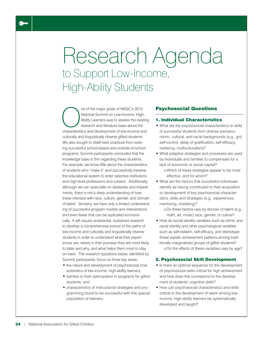## Research Agenda to Support Low-Income, High-Ability Students

The of the major goals of NAGC's 2012<br>
National Summit on Low-Income, High<br>
Ability Learners was to assess the exist<br>
research and literature base about the<br>
characteristics and development of low-income and National Summit on Low-Income, High-Ability Learners was to assess the existing research and literature base about the characteristics and development of low-income and culturally and linguistically diverse gifted students. We also sought to distill best practices from existing successful school-based and outside-of-school programs. Summit participants concluded that the knowledge base is thin regarding these students. For example, we know little about the characteristics of students who "make it" and successfully traverse the educational system to enter selective institutions and high-level professions and careers. Additionally, although we can speculate on obstacles and impediments, there is not a deep understanding of how these intersect with race, culture, gender, and domain of talent. Similarly, we have only a limited understanding of successful program models and interventions and even fewer that can be replicated economically. It will require substantial, sustained research to develop a comprehensive picture of the paths of low-income and culturally and linguistically diverse students in order to understand what their experiences are, where in their journeys they are most likely to falter and why, and what helps them most to stay on track. The research questions below, identified by Summit participants, focus on three key areas:

- the nature and development of psychosocial characteristics of low-income, high-ability learners;
- barriers to their participation in programs for gifted students; and
- characteristics of instructional strategies and programming found to be successful with this special population of learners.

#### Psychosocial Questions

#### 1. Individual Characteristics

- What are the psychosocial characteristics or skills of successful students from diverse socioeconomic, cultural, and racial backgrounds (e.g., grit, self-control, delay of gratification, self-efficacy, resiliency, multiculturalism)?
- What adaptive strategies and processes are used by individuals and families to compensate for a lack of economic or social capital?
	- ❑ Which of these strategies appear to be most effective, and for whom?
- What are the factors that successful individuals identify as having contributed to their acquisition or development of key psychosocial characteristics, skills and strategies (e.g., experiences, mentoring, modeling)?
	- ❑ Do these factors vary by domain of talent (e.g., math, art, music) race, gender, or culture?
- How do social identity variables such as ethnic and racial identity and other psychological variables such as self-esteem, self-efficacy, and stereotype threat explain achievement patterns among traditionally marginalized groups of gifted students?

 ❑ Do the effects of these variables vary by age?

#### 2. Psychosocial Skill Development

- Is there an optimal sequence for the development of psychosocial skills critical for high achievement and how does this correspond to the development of students' cognitive skills?
- How can psychosocial characteristics and skills critical to the development of talent among lowincome, high-ability learners be systematically developed and taught?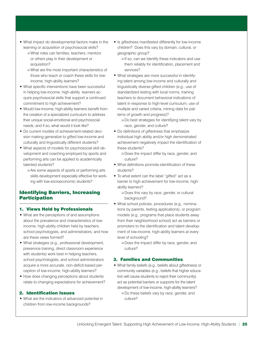- What impact do developmental factors make in the learning or acquisition of psychosocial skills?
	- ❑ What roles can families, teachers, mentors or others play in their development or acquisition?
	- ❑ What are the most important characteristics of those who teach or coach these skills for lowincome, high-ability learners?
- What specific interventions have been successful in helping low-income, high-ability learners acquire psychosocial skills that support a continued commitment to high achievement?
- Would low-income, high-ability learners benefit from the creation of a specialized curriculum to address their unique social-emotional and psychosocial needs, and if so, what would it look like?
- Do current models of achievement-related decision making generalize to gifted low-income and culturally and linguistically different students?
- What aspects of models for psychosocial skill development and coaching employed by sports and performing arts can be applied to academically talented students?
	- ❑ Are some aspects of sports or performing arts skills development especially effective for working with low-socioeconomic students?

#### Identifying Barriers, Increasing Participation

#### 1. Views Held by Professionals

- What are the perceptions of and assumptions about the prevalence and characteristics of lowincome, high-ability children held by teachers, school psychologists, and administrators, and how are these views formed?
- What strategies (e.g., professional development, preservice training, direct classroom experience with students) work best in helping teachers, school psychologists, and school administrators acquire a more accurate, non-deficit-based perception of low-income, high-ability learners?
- How does changing perceptions about students relate to changing expectations for achievement?

#### 2. Identification Issues

• What are the indicators of advanced potential in children from low-income backgrounds?

- Is giftedness manifested differently for low-income children? Does this vary by domain, cultural, or geographic group?
	- ❑ If so, can we identify these indicators and use them reliably for identification, placement and services?
- What strategies are more successful in identifying talent among low-income and culturally and linguistically diverse gifted children (e.g., use of standardized testing with local norms, training teachers to document behavioral indications of talent in response to high-level curriculum, use of multiple and varied criteria, mining data for patterns of growth and progress)?
	- ❑ Do best strategies for identifying talent vary by race, gender, and culture?
- Do definitions of giftedness that emphasize individual high ability and/or high demonstrated achievement negatively impact the identification of these students?
	- ❑ Does the impact differ by race, gender, and culture?
- What definitions promote identification of these students?
- To what extent can the label "gifted" act as a barrier to high achievement for low-income, highability learners?
	- ❑ Does this vary by race, gender, or cultural background?
- What school policies, procedures (e.g., nominations by parents, testing applications), or program models (e.g., programs that place students away from their neighborhood school) act as barriers or promoters to the identification and talent development of low-income, high-ability learners at every level of schooling?
	- ❑ Does the impact differ by race, gender, and culture?

#### 3. Families and Communities

- What family beliefs (e.g., beliefs about giftedness) or community variables (e.g., beliefs that higher education will cause students to reject their community) act as potential barriers or supports for the talent development of low-income, high-ability learners?
	- ❑ Do these beliefs vary by race, gender, and culture?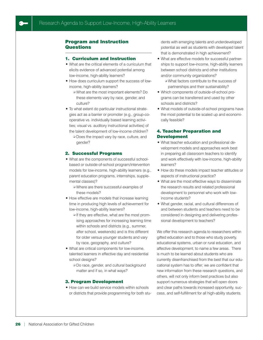#### Program and Instruction **Questions**

#### 1. Curriculum and Instruction

- What are the critical elements of a curriculum that elicits evidence of advanced potential among low-income, high-ability learners?
- How does curriculum support the success of lowincome, high-ability learners?
	- ❑ What are the most important elements? Do these elements vary by race, gender, and culture?
- To what extent do particular instructional strategies act as a barrier or promoter (e.g., group-cooperative vs. individually based learning activities; visual vs. auditory instructional activities) of the talent development of low-income children?
	- ❑ Does the impact vary by race, culture, and gender?

#### 2. Successful Programs

- What are the components of successful schoolbased or outside-of-school program/intervention models for low-income, high-ability learners (e.g., parent education programs, internships, supplemental classes)?
	- ❑ Where are there successful examples of these models?
- How effective are models that increase learning time in producing high levels of achievement for low-income, high-ability learners?
	- ❑ If they are effective, what are the most promising approaches for increasing learning time within schools and districts (e.g., summer, after school, weekends) and is this different for older versus younger students and vary by race, geography, and culture?
- What are critical components for low-income, talented learners in effective day and residential school designs?
	- ❑ Do race, gender, and cultural background matter and if so, in what ways?

#### 3. Program Development

• How can we build service models within schools or districts that provide programming for both students with emerging talents and underdeveloped potential as well as students with developed talent that is demonstrated in high achievement?

- What are effective models for successful partnerships to support low-income, high-ability learners between school districts and other institutions and/or community organizations?
	- ❑ What factors contribute to the success of partnerships and their sustainability?
- Which components of outside-of-school programs can be transferred and used by other schools and districts?
- What models of outside-of-school programs have the most potential to be scaled up and economically feasible?

#### 4. Teacher Preparation and Development

- What teacher education and professional development models and approaches work best in preparing all classroom teachers to identify and work effectively with low-income, high-ability learners?
- How do these models impact teacher attitudes or aspects of instructional practice?
- What are the most effective ways to disseminate the research results and related professional development to personnel who work with lowincome students?
- What gender, racial, and cultural differences of and between students and teachers need to be considered in designing and delivering professional development to teachers?

We offer this research agenda to researchers within gifted education and to those who study poverty, educational systems, urban or rural education, and affective development, to name a few areas. There is much to be learned about students who are currently disenfranchised from the best that our educational system has to offer; we are confident that new information from these research questions, and others, will not only inform best practices but also support numerous strategies that will open doors and clear paths towards increased opportunity, success, and self-fulfillment for all high-ability students.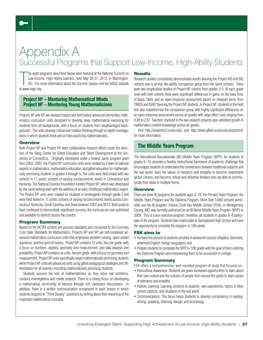### Appendix A Successful Programs that Support Low-Income, High-Ability Students

The eight production<br>
Low-Incom<br>
DC. For n<br>
at www.nagc.org. he eight programs described below were featured at the National Summit on Low-Income, High-Ability Learners, held May 30-31, 2012, in Washington, DC. For more information about the Summit, please visit the NAGC website

#### Project M3 – Mentoring Mathematical Minds Project M<sup>2</sup> – Mentoring Young Mathematicians

Projects M<sup>3</sup> and M<sup>2</sup> are research based and field tested advanced elementary mathematics curriculum units designed to develop deep mathematical reasoning for students from all backgrounds, with a focus on students from disadvantaged backgrounds. The units develop critical and creative thinking through in-depth investigations in which students think and act like practicing mathematicians.

#### **Overview**

Both Project M<sup>3</sup> and Project M<sup>2</sup> were collaborative research efforts under the direction of the Neag Center for Gifted Education and Talent Development at the University of Connecticut. Originally developed under a federal Javits program grant from 2002–2007, the Project M<sup>3</sup> curriculum units were created by a team of national experts in mathematics, mathematics education, and gifted education for mathematically promising students in grades 3 through 5. The units were field tested with two cohorts in 11 public schools of varying socioeconomic levels in Connecticut and Kentucky. The National Science Foundation funded Project M<sup>2</sup>, which was developed by the same writing team with the addition of an early childhood mathematics expert. The Project  $M<sup>2</sup>$  units were created for students in kindergarten through grade 2 and were field tested in 11 public schools of varying socioeconomic levels across Connecticut, Kentucky, South Carolina, and Texas between 2007 and 2012. Both projects have continued to demonstrate significant success; the curricula are now published and available to districts across the country.

#### Program Summary

Based on the NCTM content and process standards and connected to the Common Core State Standards for Mathematics, Projects  $M<sup>3</sup>$  and  $M<sup>2</sup>$  are self-contained advanced mathematics curriculum units that emphasize problem solving, open-ended questions, and the spirit of inquiry. Project  $M<sup>3</sup>$  contains 12 units, four per grade, with a focus on numbers, algebra, geometry and measurement, and data analysis and probability. Project M<sup>2</sup> contains six units, two per grade, with a focus on geometry and measurement. Project M<sup>3</sup> units specifically target mathematically promising students while Project M<sup>2</sup> units are advanced units using gifted pedagogical strategies and differentiation for all learners including mathematically promising students.

Students assume the role of mathematicians as they solve real problems, conduct investigations and create projects. There is a strong focus on developing a mathematical community of learners through rich classroom discussions. In addition, there is a written communication component in each lesson in which students respond to "Think Deeply" questions by writing about their reasoning of the important mathematical concepts.

#### **Results**

Research studies consistently demonstrated results favoring the Project M3 and M2 cohorts over a similar like-ability comparison group from the same schools. There were two longitudinal studies of Project  $M<sup>3</sup>$  cohorts from grades 3-5. At each grade level with both cohorts there were significant differences in gains on the Iowa Tests of Basic Skills and an open-response assessment based on released items from TIMSS and NAEP favoring the Project M<sup>3</sup> students. In Project M<sup>2</sup>, students in the field test also outperformed the comparison group with highly significant differences on an open-response assessment across all grades with large effect sizes ranging from 0.89 to 2.67. Teachers involved in the two research projects also exhibited growth in mathematics content knowledge across all grades.

Visit http://projectm2.uconn.edu/ and http://www.gifted.uconn.edu/projectm3/ for more information.

#### The Middle Years Program

The International Baccalaureate (IB) Middle Years Program (MYP), for students in grades 6–10, provides a flexible instructional framework of academic challenge that encourages students to understand the connections between traditional subjects and the real world, learn the values of tolerance and empathy to become responsible global citizens, and become critical and reflective thinkers who are able to communicate their ideas in multiple forms.

#### **Overview**

There are three IB programs for students ages 3–19, the Primary Years Program, the Middle Years Program and the Diploma Program. More than 3,000 schools worldwide use the IB program. Francis Scott Key Middle School (FSK), in Montgomery County, MD, was formally authorized as an IB World Middle Years Program (MYP) in 2009. This is a non-selective program, therefore, all students in grades 6–8 participate in the program. Students then matriculate to Springbrook High School and have the opportunity to complete the program in 10th grade.

#### FSK aims to

- Increase the percent of students enrolled in advanced courses (Algebra, Geometry, advanced English, foreign languages) and
- Prepare students to complete the MYP in 10th grade with the goal of them entering the Diploma Program and empowering them to be successful in college.

#### Program Summary

FSK offers a comprehensive, well-rounded program of study that focuses on:

- Intercultural Awareness: Students are given increased opportunities to learn about their own culture and the cultures of people from around the globe to learn values of tolerance and empathy.
- Holistic Learning: Learning connects to students' own experiences, topics in other school subjects, and situations in the real world.
- Communications: This focus helps students to develop competency in reading, writing, speaking, listening, design, and technology.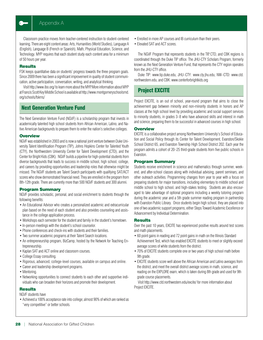Classroom practice moves from teacher-centered instruction to student-centered learning. There are eight content areas: Arts, Humanities (World Studies), Language A (English), Language B (French or Spanish), Math, Physical Education, Science, and Technology. MYP requires that each student study each content area for a minimum of 50 hours per year.

#### **Results**

FSK keeps quantitative data on students' progress towards the three program goals. Since 2009 there has been a significant improvement in quality of student communication, active participation, conversation, writing, and analytical thinking.

Visit http://www.ibo.org/ to learn more about the MYP. More information about MYP at Francis Scott Key Middle School is available at http://www.montgomeryschoolsmd. org/schools/fskms/

#### Next Generation Venture Fund

The Next Generation Venture Fund (NGVF) is a scholarship program that invests in academically talented high school students from African American, Latino, and Native American backgrounds to prepare them to enter the nation's selective colleges.

#### **Overview**

NGVF was established in 2003 and is now a national joint venture between Duke University Talent Identification Program (TIP), Johns Hopkins Center for Talented Youth (CTY), the Northwestern University Center for Talent Development (CTD), and the Center for Bright Kids (CBK). NGVF builds a pipeline for high-potential students from diverse backgrounds that leads to success in middle school, high school, college, and careers by providing opportunities and leadership roles that otherwise might be missed. The NGVF students are Talent Search participants with qualifying SAT/ACT scores who show demonstrated financial need. They are enrolled in the program from 8th-12th grade. There are currently more than 500 NGVF students and 300 alumni.

#### Program Summary

NGVF provides scholastic, personal, and social enrichment to students through the following benefits:

- An Educational Advisor who creates a personalized academic and extracurricular plan based on the need of each student and also provides counseling and assistance in the college application process.
- Workshops each semester for the student and family in the student's hometown.
- In-person meetings with the student's school counselor.
- Phone conferences and check-ins with students and their families.
- Two summer academic programs at their Talent Search locations.
- An entrepreneurship program, BizCamp, hosted by the Network for Teaching Entrepreneurship.
- Kaplan SAT and ACT online and classroom courses.
- College Essay consulting.
- Rigorous, advanced, college-level courses, available on campus and online.
- Career and leadership development programs.
- Mentoring.
- Networking opportunities to connect students to each other and supportive individuals who can broaden their horizons and promote their development.

#### **Results**

NGVF students have

• Achieved a 100% acceptance rate into college; almost 90% of which are ranked as "very competitive" or better schools.

- Enrolled in more AP courses and IB curriculum than their peers.
- Elevated SAT and ACT scores.

The NGVF Program that represents students in the TIP, CTD, and CBK regions is coordinated through the Duke TIP office. The JHU-CTY Scholars Program, formerly known as the Next Generation Venture Fund, that represents the CTY region operates from the JHU-CTY office.

Duke TIP: www.tip.duke.edu, JHU–CTY: www.cty.jhu.edu, NW–CTD: www.ctd. northwestern.edu, and CBK: www.centerforbrightkids.org

#### Project EXCITE

Project EXCITE, is an out of school, year-round program that aims to close the achievement gap between minority and non-minority students in honors and AP classes at the high school level by providing academic and social support services to minority students, in grades 3–8 who have advanced skills and interest in math and science, preparing them to be successful in advanced courses in high school.

#### **Overview**

EXCITE is a collaborative project among Northwestern University's School of Education and Social Policy through its Center for Talent Development, Evanston/Skokie School District 65, and Evanston Township High School District 202. Each year the program admits a cohort of 20–25 third-grade students from five public schools in Evanston.

#### Program Summary

Students receive enrichment in science and mathematics through summer, weekend, and after-school classes along with individual advising, parent seminars, and other outreach activities. Programming changes from year to year with a focus on preparing students for major transitions, including elementary to middle school and middle school to high school, and high-stakes testing. Students are also encouraged to take advantage of optional programs including a weekly tutoring program during the academic year and a 5th grade summer reading program in partnership with Evanston Public Library. Once students begin high school, they are placed into one of two academic support programs, either Steps Toward Academic Excellence or Advancement by Individual Determination.

#### **Results**

Over the past 10 years, EXCITE has experienced positive results around test scores and math placements.

- 60 point gains in reading and 72 point gains in math on the Illinois Standard Achievement Test, which has enabled EXCITE students to meet or slightly exceed average scores of white students from the district.
- 70% of EXCITE students complete one or two years of high school math before 9th grade.
- EXCITE students score well above the African American and Latino averages from the district, and meet the overall district average scores in math, science, and reading on the EXPLORE exam, which is taken during 8th grade and used for 9th grade course placements.

Visit http://www.ctd.northwestern.edu/excite/ for more information about Project EXCITE.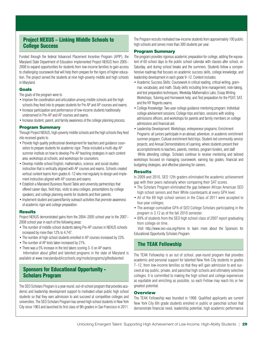#### Project NEXUS – Linking Middle Schools to College Success

Funded through the federal Advanced Placement Incentive Program (APIP), the Maryland State Department of Education implemented Project NEXUS from 2005– 2008 to expand opportunities for students from low-income families to gain access to challenging coursework that will help them prepare for the rigors of higher education. The project served the students at nine high-poverty middle and high schools in Maryland.

#### Goals

The goals of the program were to

- Improve the coordination and articulation among middle schools and the high schools they feed into to prepare students for Pre AP and AP courses and exams.
- Increase participation and performance of low-income students traditionally underserved in Pre-AP and AP courses and exams.
- Increase student, parent, and family awareness of the college planning process.

#### Program Summary

Through Project NEXUS, high-poverty middle schools and the high schools they feed into received grants to:

- Provide high quality professional development for teachers and guidance counselors to prepare students for academic rigor. These included a multi-day AP summer institute on how to develop Pre-AP teaching strategies in each content area, workshops at schools, and workshops for counselors.
- Develop middle school English, mathematics, science, and social studies instruction that is vertically aligned with AP courses and exams. Schools created vertical content teams from grades 6–12 who met regularly to design and implement instruction aligned with AP courses and exams.
- Establish a Maryland Business Round Table and university partnerships that offered career days, field trips, visits to area colleges, presentations by college speakers, and college planning events for students and their parents.
- Implement student and parent/family outreach activities that promote awareness of academic rigor and college preparation.

#### **Results**

Project NEXUS demonstrated gains from the 2004–2005 school year to the 2007– 2008 school year in each of the following areas:

- The number of middle school students taking Pre-AP courses in NEXUS schools increased by more than 12% to 4,747.
- The number of high school students enrolled in AP courses increased by 23%.
- The number of AP tests taken increased by 21%.
- There was a 5% increase in the test takers scoring 3–5 on AP exams. Information about gifted and talented programs in the state of Maryland is available at www.marylandpublicschools.org/msde/programs/giftedtalented

#### Sponsors for Educational Opportunity - Scholars Program

The SEO Scholars Program is a year-round, out-of-school program that provides academic and leadership development support to motivated urban public high school students so that they earn admission to and succeed at competitive colleges and universities. The SEO Scholars Program has served high school students in New York City since 1963 and launched its first class of 9th graders in San Francisco in 2011.

The Program recruits motivated low-income students from approximately 100 public high schools and serves more than 300 students per year.

#### Program Summary

The program provides rigorous academic preparation for college, adding the equivalent of 60 school days to the public school calendar with classes after school, on Saturday, and during school breaks and the summers. Students follow a comprehensive roadmap that focuses on academic success skills, college knowledge, and leadership development in each grade 9–12. Content includes:

- Academic Success Skills: Coursework in critical reading, critical writing, grammar, vocabulary, and math. Study skills including time management, note-taking, and test preparation techniques; Weekday Mathematics Labs, Essay Writing Workshops, Tutoring and Homework help; and Test preparation for the PSAT, SAT, and the NY Regents exams.
- College Knowledge: Two-year college guidance mentoring program; Individual college advisement sessions; College trips and fairs, sessions with visiting admissions officers, and workshops for parents and family members on college admissions and financial aid.
- Leadership Development: Workshops; entrepreneur programs; Enrichment Programs: all juniors participate in an abroad, adventure, or academic enrichment summer program; Cultural enrichment field trips; Student-led community service projects; and Annual Demonstrations of Learning, where students present their accomplishments to teachers, parents, mentors, program funders, and staff. While attending college, Scholars continue to receive mentoring and tailored workshops focused on managing coursework, earning top grades, financial and budgeting strategies, and effective planning for careers.

#### **Results**

In 2009 and 2010, SEO 12th graders eliminated the academic achievement gap with their peers nationally when comparing their SAT scores.

- The Scholars Program eliminated the gap between African American SEO high school seniors and their White counterparts at every GPA level.
- All of the 69 high school seniors in the Class of 2011 were accepted to four-year colleges.
- The average cumulative GPA of SEO College Scholars participating in the program is 3.12 as of the fall 2010 semester.
- 89% of students from the SEO high school class of 2007 report graduating from college on time.

Visit http://www.seo-usa.org/Home to learn more about the Sponsors for Educational Opportunity Scholars Program.

#### The TEAK Fellowship

The TEAK Fellowship is an out of school, year-round program that provides academic and personal support for talented New York City students in grades 7–12, from low-income families so that they will gain admission to and succeed at top public, private, and parochial high schools and ultimately selective colleges. It is committed to making the high school and college experiences as equitable and enriching as possible, so each Fellow may reach his or her greatest potential.

#### **Overview**

The TEAK Fellowship was founded in 1998. Qualified applicants are current New York City 6th grade students enrolled in public or parochial school that demonstrate financial need, leadership potential, high academic performance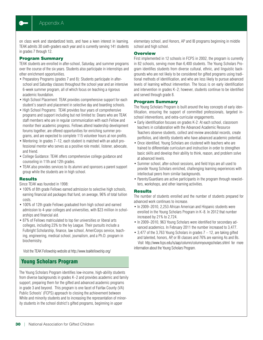on class work and standardized tests, and have a keen interest in learning. TEAK admits 30 sixth-graders each year and is currently serving 141 students in grades 7 through 12.

#### Program Summary

TEAK students are enrolled in after-school, Saturday, and summer programs over the course of the six years. Students also participate in internships and other enrichment opportunities.

- Preparatory Programs (grades 7 and 8): Students participate in afterschool and Saturday classes throughout the school year and an intensive 6-week summer program, all of which focus on teaching a rigorous academic foundation.
- High School Placement: TEAK provides comprehensive support for each student's search and placement in selective day and boarding schools.
- High School Programs: TEAK provides four years of comprehensive programs and support including but not limited to: Deans who are TEAK staff members who are in regular communication with each Fellow and monitor their academic progress. Fellows attend leadership development forums together, are offered opportunities for enriching summer programs, and are expected to complete 115 volunteer hours at non profits.
- Mentoring: In grades 7–12, each student is matched with an adult professional mentor who serves as a positive role model, listener, advocate, and friend.
- College Guidance: TEAK offers comprehensive college guidance and counseling in 11th and 12th grades.
- TEAK also provides services to its alumni and sponsors a parent support group while the students are in high school.

#### **Results**

Since TEAK was founded in 1998:

- 100% of 8th grade Fellows earned admission to selective high schools, earning financial aid packages that fund, on average, 96% of total tuition costs.
- 100% of 12th grade Fellows graduated from high school and earned admission to 4-year colleges and universities, with \$23 million in scholarships and financial aid.
- 87% of Fellows matriculated to top tier universities or liberal arts colleges, including 23% to the Ivy League. Their pursuits include a Fulbright Scholarship, finance, law school, AmeriCorps service, teaching, engineering, medical school, journalism, and a Ph.D. program in biochemistry.

Visit the TEAK Fellowship website at http://www.teakfellowship.org/

#### Young Scholars Program

The Young Scholars Program identifies low-income, high-ability students from diverse backgrounds in grades K–2 and provides academic and family support, preparing them for the gifted and advanced academic programs in grade 3 and beyond. This program is one facet of Fairfax County (VA) Public Schools' (FCPS) approach to closing the achievement between White and minority students and to increasing the representation of minority students in the school district's gifted programs, beginning in upper

elementary school, and Honors, AP and IB programs beginning in middle school and high school.

#### **Overview**

First implemented in 12 schools in FCPS in 2002, the program is currently in 82 schools, serving more than 6,400 students. The Young Scholars Program identifies students from diverse cultural, ethnic, and linguistic backgrounds who are not likely to be considered for gifted programs using traditional methods of identification, and who are less likely to pursue advanced levels of learning without intervention. The focus is on early identification and intervention in grades K–2; however, students continue to be identified and served through grade 8.

#### Program Summary

The Young Scholars Program is built around the key concepts of early identification, ensuring the support of committed professionals, targeted inschool interventions, and extra-curricular engagements.

- Early identification focuses on grades K-2: At each school, classroom teachers in collaboration with the Advanced Academic Resource Teachers observe students, collect and review anecdotal records, create portfolios, and identify students who have advanced academic potential.
- Once identified, Young Scholars are clustered with teachers who are trained to differentiate curriculum and instruction in order to strengthen basic skills and develop their ability to think, reason, and problem solve at advanced levels.
- Summer school, after-school sessions, and field trips are all used to provide Young Scholars enriched, challenging learning experiences with intellectual peers from similar backgrounds.
- Parents/Guardians are active participants in the program through newsletters, workshops, and other learning activities.

#### Results

The number of students enrolled and the number of students prepared for advanced work continues to increase.

- In 2009–2010, 2,253 African American and Hispanic students were enrolled in the Young Scholars Program in K–8. In 2012 that number increased by 21% to 2,724.
- In 2009–2010, 963 Young Scholars were identified for secondary advanced academics. In February 2011 the number increased to 3,477.
- 3,477 of the 3,763 Young Scholars in grades 7 12, are taking gifted and talented, honors, AP, or IB classes and 76% are earning As and Bs. Visit http://www.fcps.edu/is/aap/column/columnyoungscholars.shtml for more information about the Young Scholars Program.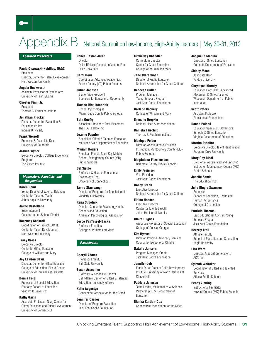### $\bullet$

## $\mathcal{D}$ PCN $\operatorname{div} \mathsf{B}$  National Summit on Low-Income, High-Ability Learners | May 30-31, 2012

#### *Featured Presenters*

Northwestern University

Paula Olszewski-Kubilius, NAGC President Director, Center for Talent Development

Angela Duckworth Assistant Professor of Pyschology University of Pennsylvania

Chester Finn, Jr. President Thomas B. Fordham Institute

Jonathan Plucker Director, Center for Evaluation & Education Policy Indiana University

Frank Worrell Professor & Associate Dean University of California

Joshua Wyner Executive Director, College Excellence Program The Aspen Institute

#### *Moderators, Panelists, and Responders*

Karen Bond Senior Director of External Relations Center for Talented Youth Johns Hopkins University

Jaime Castellano Superintendent Ganado Unified School District

Kourtney Cockrell Coordinator for Project EXCITE Center for Talent Development Northwestern University

Tracy Cross Executive Director Center for Gifted Education College of William and Mary

#### Joy Lawson Davis

Director, Center for Gifted Education College of Education, Picard Center University of Louisiana at Lafayette

#### Donna Ford

Professor of Special Education Peabody School of Education Vanderbilt University

#### Kathy Gavin

Associate Professor, Neag Center for Gifted Education and Talent Development University of Connecticut

Renée Haston-Birch **Director** Duke-TIP-Next Generation Venture Fund Duke University

Carol Horn Coordinator, Advanced Academics Fairfax County (VA) Public Schools

Julian Johnson Senior Vice President Sponsors for Educational Opportunity

Tiombe-Bisa Kendrick School Pyschologist Miami-Dade County Public Schools

Beth Onofry Associate Director of Post-Placement The TEAK Fellowship

Jeanne Paynter Specialist, Gifted & Talented Education Maryland State Department of Education

Myriam Rogers Principal, Francis Scott Key Middle School, Montgomery County (MD) Public Schools

Del Siegle Professor & Head of Educational Psychology Dept. University of Connecticut

Tamra Stambaugh Director of Programs for Talented Youth Vanderbilt University

Rena Subotnik Director, Center for Psychology in the Schools and Education American Psychological Association

Joyce VanTassel-Baska Professor Emeritus College of William and Mary

#### *Participants*

Cheryll Adams Professor Emeritus Ball State University

Susan Assouline Professor & Associate Director Belin-Blank Center for Gifted & Talented Education, University of Iowa

Katie Augustyn Connecticut Association for the Gifted

Jennifer Carney

Director of Program Evaluation Jack Kent Cooke Foundation

Kimberley Chandler Curriculum Director Center for Gifted Education College of William and Mary

Jane Clarenbach Director of Public Education National Association for Gifted Children

Rebecca Cullen Program Manager, Young Scholars Program Jack Kent Cooke Foundation

Darlene Dockery College of William and Mary

Emmalie Dropkin National Head Start Association

Daniela Fairchild Thomas B. Fordham Institute

Monique Felder Director, Accelerated & Enriched Instruction, Montgomery County (MD) Public Schools

Magdalena Fitzsimmons Baltimore County Public Schools

Emily Froimson Vice President Jack Kent Cooke Foundation

Nancy Green Executive Director National Association for Gifted Children

Elaine Hansen Executive Director Center for Talented Youth Johns Hopkins University

Claire Hughes Associate Professor of Special Education College of Coastal Georgia

Kim Hymes Director, Policy & Advocacy Services Council for Exceptional Children

Natalie Jansorn Program Manager, Grants Jack Kent Cooke Foundation

Jennifer Job

Frank Porter Graham Child Development Institute, University of North Carolina at Chapel Hill

Patricia Johnson

Team Leader, Mathematics & Science Partnership, U.S. Department of **Education** 

Bianka Kortlan-Cox

Connecticut Association for the Gifted

Jacquelin Medina Director of Gifted Education

Colorado Department of Education

Sidney Moon Associate Dean Purdue University

Instruction

Chrystyna Mursky Education Consultant, Advanced Placement & Gifted/Talented Wisconsin Department of Public

Scott Peters Assistant Professor Educational Foundations

Donna Poland Education Specialist, Governor's Schools & Gifted Education Virginia Department of Education

Martha Putallaz Executive Director, Talent Identification Program, Duke University

Mary Cay Ricci Division of Accelerated and Enriched Instruction Montgomery County (MD) Public Schools

Janelle Sands The Education Trust

Julie Dingle Swanson

Professor School of Education, Health and Human Performance College of Charleston

Patricia Thomas

Lead Educational Adviser, Young Scholars Program Jack Kent Cooke Foundation

Beverly Trail Affiliate Faculty School of Education and Counseling Regis University

Lisa Ward Director, Association Relations ACT, Inc.

Gyimah Whitaker

Coordinator of Gifted and Talented Services Atlanta Public Schools

Penny Zimring

Instructional Facilitator Howard County (MD) Public Schools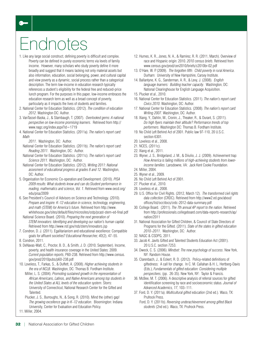# Endnotes

 $\bullet$ 

- 1. Like any large social construct, defining poverty is difficult and complex. Poverty can be defined in purely economic terms via levels of family income. However, many scholars who study poverty define it more broadly and suggest that it means lacking not only material assets but also information, education, social belonging, power, and cultural capital and view poverty as a dynamic, social process rather than a categorical description. The term low-income in education research typically references a student's eligibility for the federal free and reduced-price lunch program. For the purposes in this paper, low-income embraces the education research term as well as a broad concept of poverty, particularly as it impacts the lives of students and families.
- 2. National Center for Education Statistics. (2012). *The condition of education 2012*. Washington DC: Author.
- 3. VanTassel-Baska, J., & Stambaugh, T. (2007). *Overlooked gems: A national perspective on low-income promising learners*. Retrieved from http:// www.nagc.org/index.aspx?id=1719
- 4. National Center for Education Statistics. (2011a). *The nation's report card: Math*

*2011*. Washington, DC: Author.

National Center for Education Statistics. (2011b). *The nation's report card: Reading 2011*. Washington, DC: Author.

- National Center for Education Statistics. (2011c). *The nation's report card: Science 2011*. Washington, DC: Author.
- National Center for Education Statistics. (2012). *Writing 2011: National assesment of educational progress at grades 8 and 12*. Washington, DC: Author.
- 5. Organisation for Economic Co-operation and Development. (2010). *PISA 2009 results: What students know and can do:Student performance in reading, mathematics and science, Vol. 1*. Retrieved from www.oecd.org/ edu/pisa/2009
- 6. See President's Council of Advisors on Science and Technology. (2010). *Prepare and inspire: K–12 education in science, technology, engineering, and math (STEM) for America's future*. Retrieved from http://www. whitehouse.gov/sites/default/files/microsites/ostp/pcast-stem-ed-final.pdf
	- National Science Board. (2010). *Preparing the next generation of STEM innovators: Identifying and developing our nation's human capital*. Retrieved from http://www.nsf.gov/nsb/stem/innovators.jsp
- 7. Condron, D. J. (2011). Egalitarianism and educational excellence: Compatible goals for affluent societies? *Educational Researcher, 40*(2), 47–55.
- 8. Condron, 2011.
- 9. DeNavas-Walt, C., Proctor, B. D., & Smith, J. D. (2010, September). Income, poverty, and health insurance coverage in the United States: 2009. *Current population reports*, P60-238. Retrieved from http://www.census. gov/prod/2010pubs/p60-238.pdf
- 10. Loveless, T., Farkas, S., & Duffett, A. (2008). *Higher achieving students in the era of NCLB*. Washington, DC: Thomas B. Fordham Institute.
	- Miller, L. S. (2004). *Promoting sustained growth in the representation of African Americans, Latinos, and Native Americans among top students in the United States at ALL levels of the education system*. Storrs: University of Connecticut, National Research Center for the Gifted and Talented.
	- Plucker, J. S., Burroughs, N., & Song, R. (2010). Mind the (other) gap! *The growing excellence gap in K–12 education*. Bloomington: Indiana University, Center for Evaluation and Education Policy.

11. Miller, 2004.

- 12. Humes, K. R., Jones, N. A., & Ramirez, R. R. (2011, March). Overview of race and Hispanic origin: 2010. *2010 census briefs*. Retrieved from www.census.gov/prod/cen2010/briefs/c2010br-02.pdf
- 13. O'Hare, W. P. (2009). *The forgotten fifth: Child poverty in rural America*. Durham: University of New Hampshire, Carsey Institute.
- 14. Ballantyne, K. G., Sanderman, A. R., & Levy, J. (2008). *English language learners: Building teacher capacity*. Washington, DC: National Clearinghouse for English Language Acquisition.
- 15. Plucker et al., 2010.
- 16. National Center for Education Statistics. (2011). *The nation's report card: Civics 2010*. Washington, DC: Author.
- 17. National Center for Education Statistics. (2008). *The nation's report card: Writing 2007*. Washington, DC: Author.
- 18. Xiang, Y., Dahlin, M., Cronin, J., Theaker, R., & Durant, S. (2011). *Do high flyers maintain their altitude? Performance trends of top performers*. Washington DC: Thomas B. Fordham Institute.
- 19. No Child Left Behind Act of 2001. Public law 97-110, 20 U.S.C. section 6301.
- 20. Loveless et al., 2008.
- 21. NCES, (2011c).
- 22. Xiang et al., 2011.
- 23. Wyner, J. S., Bridgeland, J. M., & Diiulio, J. J. (2009). Achievement trap: *How America is failing millions of high-achieving students from lowerincome families*. Lansdowne, VA: Jack Kent Cooke Foundation.
- 24. Miller, 2004.
- 25. Wyner et al., 2009.
- 26. No Child Left Behind Act of 2001.
- 27. Plucker et al., 2010.
- 28. Loveless et al., 2008.
- 29. U.S. Office for Civil Rights. (2012, March 12). *The transformed civil rights data collection* (CRDC). Retrieved from http://www2.ed.gov/about/ offices/list/ocr/docs/crdc-2012-data-summary.pdf
- 30. College Board. (2011). *The 7th annual AP report to the nation*. Retrieved from http://professionals.collegeboard.com/data-reports-research/ap/ nation/2011
- 31. National Association for Gifted Children, & Council of State Directors of Programs for the Gifted. (2011). *State of the states in gifted education 2010–2011*. Washington, DC: Author.
- 32. NAGC & CSDPG, 2011.
- 33. Jacob K. Javits Gifted and Talented Students Education Act (2001). 20 U.S.C. section 7253.
- 34. Dweck, C. S. (2006). *Mindset: The new psychology of success*. New York, NY: Random House.
- 35. Clarenbach, J., & Eckert, R. D. (2012). Policy-related definitions of giftedness: A call for change. In C. M. Callahan & H. L. Hertberg-Davis (Eds.), *Fundamentals of gifted education: Considering multiple perspectives*, (pp. 26-35). New York, NY: Taylor & Francis.
- 36. McBee, M. T. (2006). A descriptive analysis of referral sources for gifted identification screening by race and socioeconomic status. *Journal of Advanced Academics, 17*, 103–111.
- 37. Ford, D. Y. (2011a). *Multicultural gifted education* (2nd ed.). Waco, TX: Prufrock Press.
	- Ford, D. Y. (2011b). *Reversing underachievement among gifted Black students* (2nd ed.). Waco, TX: Prufrock Press.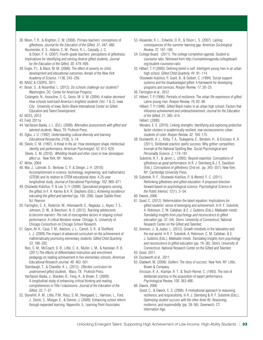38. Moon, T. R., & Brighton, C. M. (2008). Primary teachers' conceptions of giftedness. *Journal for the Education of the Gifted, 31*, 447–480. Neumeister, K. S., Adams, C. M., Pierce, R. L., Cassady, J. C,

& Dixon, F. A. (2007). Fourth-grade teachers' perceptions of giftedness: Implications for identifying and serving diverse gifted students. *Journal for the Education of the Gifted, 30*, 479–499.

39. Engle, P. L. & Black, M. M. (2008). The effect of poverty on child development and educational outcomes. *Annals of the New York Academy of Science*, 1136, 243–256.

40. NAGC & CSDPG, 2011.

41. Boser, U., & Rosenthal, L. (2012). *Do schools challenge our students?* Washington, DC: Center for American Progress.

Colangelo, N., Assouline, S. G., Gross. M. U. M. (2004). *A nation deceived: How schools hold back America's brightest students* (Vol. 1 & 2). Iowa City: University of Iowa, Belin-Blank International Center on Gifted Education and Talent Development.

- 42. NCES, 2012.
- 43. Ford, 2011a.
- 44. VanTassel-Baska, J. L. (Ed.). (2008). *Alternative assessments with gifted and talented students*. Waco, TX: Prufrock Press.
- 45. Ogbu, J. U. (1992). *Understanding cultural diversity and learning. Educational Researcher, 21*(8), 5–14.
- 46. Steele, C. M. (1997). A threat in the air: How stereotypes shape intellectual identity and performance. *American Psychologist, 52*, 613–629. Steele, C. M. (2010). *Whistling Vivaldi and other clues to how stereotypes affect us*. New York, NY: Norton.
- 47. Miller, 2004.
- 48. Wai, J., Lubinski, D., Benbow, C. P., & Steiger, J. H. (2010). Accomplishment in science, technology, engineering, and mathematics (STEM) and its relation to STEM educational dose: A 25-year longitudinal study. *Journal of Educational Psychology, 102*, 860–871.
- 49. Olszewski-Kubilius, P., & Lee, S.-Y. (2008). Specialized programs serving the gifted. In F. A. Karnes & K. R. Stephens (Eds.), *Achieving excellence educating the gifted and talented* (pp. 192–208). Upper Saddle River, NJ: Pearson.
- 50. Farrington, C. A., Roderick, M., Allensworth, E., Nagaoka, J., Keyes, T. S., Johnson, D. W., & Beechum, N. O. (2012). *Teaching adolescents to become learners: The role of noncognitive factors in shaping school performance: A critical literature review*. Chicago, IL: University of Chicago Consortium on Chicago School Research.
- 51. Gavin, M. K., Casa, T. M., Adelson, J. L., Carroll, S. R., & Sheffield, L. J. (2009).The impact of advanced curriculum on the achievement of mathematically promising elementary students. *Gifted Child Quarterly, 53*, 188–202.

Reis, S. M., McCoach, D. B., Little, C. A., Muller, L. M., & Kaniskan, R. B. (2011).The effects of differentiated instruction and enrichment pedagogy on reading achievement in five elementary schools. *American Educational Research Journal, 48*, 462–501.

Stambaugh, T., & Chandler, K. L. (2012). *Effective curriculum for underserved gifted students*. Waco, TX: Prufrock Press.

- VanTassel-Baska, J., Bracken, B., Feng, A., & Brown, E. (2009). A longitudinal study of enhancing critical thinking and reading comprehension in Title I classrooms. *Journal of the Education of the Gifted, 33*, 7–37.
- 52. Stonehill, R. M., Little, P. M., Ross, S. M., Neergaard, L., Harrison, L., Ford, J., Deich, S., Morgan, E., & Donner, J. (2009). Enhancing school reform through expanded learning. Naperville, IL: Learning Point Associates.
- 53. Alexander, K. L., Entwisle, D. R., & Olson L. S. (2007). Lasting consequences of the summer learning gap. *American Sociological Review, 72*, 167–180.
- 54. College Board. (2011). The college completion agenda: Student to counselor ratio. Retrieved from http://completionagenda.collegeboard. org/student-counselor-ratio
- 55. Hébert, T. P. (2000). Defining belief in self: Intelligent young men in an urban high school. *Gifted Child Quarterly, 44*, 91–114.

Olszewski-Kubilius, P., Grant, B., & Seibert, C. (1994). Social support systems and the disadvantaged gifted: A framework for developing programs and services. *Roeper Review, 17*, 20–25.

- 56. Farrington et al., 2012.
- 57. Hébert, T. P. (1996). Portraits of resilience: The urban life experience of gifted Latino young men. *Roeper Review, 19*, 82–90.
	- Hébert, T. P. (1998). Gifted Black males in an urban high school: Factors that influence achievement and underachievement. *Journal for the Education of the Gifted, 21*, 385–414.

Hébert, (2000).

Morales, E. E. (2010). Linking strengths: Identifying and exploring protective factor clusters in academically resilient, low-socioeconomic urban students of color. *Roeper Review, 32*, 164–175.

58. Duckworth, A. L., Kirby, T. A., Tsukayama, E., Berstein, H., & Ericsson, K. A. (2011). Deliberate practice spells success: Why grittier competitors triumph at the National Spelling Bee. *Social Psychological and Personality Science, 2,* 174–181.

Subotnik, R. F., & Jarvin, L. (2005). Beyond expertise: Conceptions of giftedness as great performance. In R. J. Sternberg & J. E. Davidson (Eds.), *Conceptions of giftedness* (2nd ed., pp. 343–357). New York, NY: Cambridge University Press.

59. Subotnik, R. F., Olszewski-Kubilius, P., & Worrell, F. C. (2011). Rethinking giftedness and gifted education: A proposed direction forward based on psychological science. *Psychological Science in the Public Interest, 12*(1), 3–54.

- 61. Good, C. (2012). Reformulation the talent equation: Implications for gifted students' sense of belonging and achievement. In R. F. Subotnik, A. Robinson, C. M. Callahan, & E. J. Gubbins (Eds.), *Malleable minds: Translating insights from psychology and neuroscience to gifted education* (pp. 37–54). Storrs: University of Connecticut, National Research Center on the Gifted and Talented.
- 62. Aronson, J., & Juarez, L. (2012). Growth mindsets in the laboratory and the real world. In R. F. Subotnik, A. Robinson, C. M. Callahan, & E. J. Gubbins (Eds.), *Malleable minds: Translating insights from psychology and neuroscience to gifted education* (pp. 19–36). Storrs: University of Connecticut, National Research Center on the Gifted and Talented.

- 64. Duckworth et al., 2011.
- 65. Gladwell, M. (2008). *Outliers: The story of success*. New York, NY: Little, Brown & Company.
	- Ericsson, K. A., Krampe, R. T., & Tesch-Römer, C. (1993). The role of deliberate practice in the acquisition of expert performance. *Psychological Review, 100*, 363-406.
- 66. Dweck, 2006.

Good, C., & Dweck, C. S. (2006). A motivational approach to reasoning, resilience, and responsibility. In R. J. Sternberg & R. F. Subotnik (Eds.), *Optimizing student success with the other three Rs: Reasoning, resilience, and responsibility* (pp. 39–56). Greenwich, CT: Information Age.

<sup>60.</sup> Dweck, 2006.

<sup>63.</sup> Good, 2011.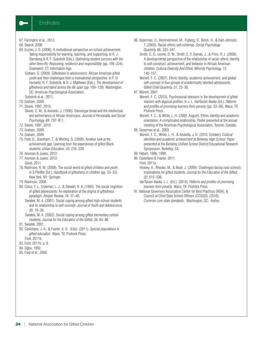

- 67. Farrington et al., 2012.
- 68. Dweck, 2006
- 69. Eccles, J. S. (2006). A motivational perspective on school achievement: Taking responsibility for learning, teaching, and supporting. In R. J. Sternberg & R. F. Subotnik (Eds.), *Optimizing student success with the other three Rs: Reasoning, resilience and responsibility* (pp. 199–224). Greenwich, CT: Information Age.
	- Graham, S. (2009). Giftedness in adolescence: African American gifted youth and their challenges from a motivational perspective. In F. D. Horowitz, R. F. Subotnik, & D. J. Matthews (Eds.), *The development of giftedness and talent across the life span* (pp. 109–129). Washington, DC: American Psychological Association.
	- Subotnik et al., 2011.
- 70. Graham, 2009.
- 71. Steele, 1997, 2010.
	- Steele, C. M., & Aronson, J. (1995). Stereotype threat and the intellectual test performance of African Americans. *Journal of Personality and Social Psychology, 69*, 797–811.
- 72. Steele, 1997, 2010.
- 73. Graham, 2009.
- 74. Graham, 2009.
- 75. Ford, D., Grantham, T., & Whiting, G. (2008). Another look at the achievement gap: Learning from the experiences of gifted Black students. *Urban Education, 43*, 216–239.
- 76. Aronson & Juarez, 2012.
- 77. Aronson & Juarez, 2012.
	- Good, 2011.
- 78. Robinson, N. M. (2008). The social world of gifted children and youth. In S.Pfeiffer (Ed.), *Handbook of giftedness in children* (pp. 33–52). New York, NY: Springer.
- 79. Robinson, 2008.
- 80. Cross, T. L., Coleman, L. J., & Stewart, R. A. (1993). The social cognition of gifted adolescents: An exploration of the stigma of giftedness paradigm. *Roeper Review, 16*, 37–40.
	- Swiatek, M. A. (2001). Social coping among gifted high school students and its relationship to self-concept. *Journal of Youth and Adolescence, 30*, 19–39.
	- Swiatek, M. A. (2002). Social coping among gifted elementary school students. *Journal for the Education of the Gifted, 26*, 65–86.
- 81. Swiatek, 2001.
- 82. Castellano, J. A., & Frazier, A. D. (Eds). (2011). *Special populations in gifted education*. Waco, TX: Prufrock Press. Ford, 2011b.
- 83. Ford, 2011b, p. 9.
- 84. Ogbu, 1992.
- 85. Ford et al., 2008.
- 86. Oyserman, D., Kemmelmeier, M., Fryberg, S., Brosh, H., & Hart-Johnson, T. (2003). Racial-ethnic self-schemas. *Social Psychology Quarterly, 66*, 333–347.
	- Smith, C. O., Levine, D. W., Smith, E. P., Dumas, J., & Prinz, R. J. (2009). A developmental perspective of the relationship of racial–ethnic identity to self-construct, achievement, and behavior in African American children. *Cultural Diversity And Ethnic Minority Psychology, 15*, 145–157.

Worrell, F. C. (2007). Ethnic identity, academic achievement, and global self-concept in four groups of academically talented adolescents. *Gifted Child Quarterly, 51*, 23–38.

- 87. Worrell, 2007.
	- Worrell, F. C. (2010). Psychosocial stressors in the development of gifted learners with atypical profiles. In J. L. VanTassel-Baska (Ed.), *Patterns and profiles of promising learners from poverty* (pp. 33–58). Waco, TX: Prufrock Press.
	- Worrell, F. C., & White, L. H. (2009, August). Ethnic identity and academic orientation: A complicated relationship. Poster presented at the annual meeting of the American Psychological Association, Toronto, Canada.
- 88. Oyserman et al., 2003.
	- Worrell, F. C., White, L. H., & Andretta, J. R. (2010, October). *Cultural identities and academic achievement at Berkeley High School*. Paper presented at the Berkeley Unified School District Educational Research Symposium, Berkeley, CA.
- 89. Hébert, 1996, 1998.
- 90. Castellano & Frazier, 2011.
- Ford, 2011a.
	- Howley, A., Rhodes, M., & Beall, J. (2009). Challenges facing rural schools: Implications for gifted students. *Journal for the Education of the Gifted, 32*, 515–536.
	- VanTassel-Baska, J. L. (Ed.). (2010). *Patterns and profiles of promising learners from poverty*. Waco, TX: Prufrock Press.
- 91. National Governors Association Center for Best Practices (NGA), & Council of Chief State School Officers (CCSSO). (2010). *Common core state standards*. Washington, DC: Author.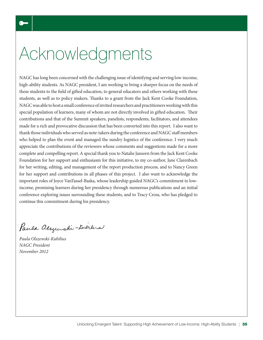# Acknowledgments

NAGC has long been concerned with the challenging issue of identifying and serving low-income, high-ability students. As NAGC president, I am working to bring a sharper focus on the needs of these students to the field of gifted education, to general educators and others working with these students, as well as to policy makers. Thanks to a grant from the Jack Kent Cooke Foundation, NAGC was able to host a small conference of invited researchers and practitioners working with this special population of learners, many of whom are not directly involved in gifted education. Their contributions and that of the Summit speakers, panelists, respondents, facilitators, and attendees made for a rich and provocative discussion that has been converted into this report. I also want to thank those individuals who served as note-takers during the conference and NAGC staff members who helped to plan the event and managed the sundry logistics of the conference. I very much appreciate the contributions of the reviewers whose comments and suggestions made for a more complete and compelling report. A special thank you to Natalie Jansorn from the Jack Kent Cooke Foundation for her support and enthusiasm for this initiative, to my co-author, Jane Clarenbach for her writing, editing, and management of the report production process, and to Nancy Green for her support and contributions in all phases of this project. I also want to acknowledge the important roles of Joyce VanTassel-Baska, whose leadership guided NAGC's commitment to lowincome, promising learners during her presidency through numerous publications and an initial conference exploring issues surrounding these students, and to Tracy Cross, who has pledged to continue this commitment during his presidency.

Paula alsquishi-tuerlis

*Paula Olszewski-Kubilius NAGC President November 2012*

 $\bullet$